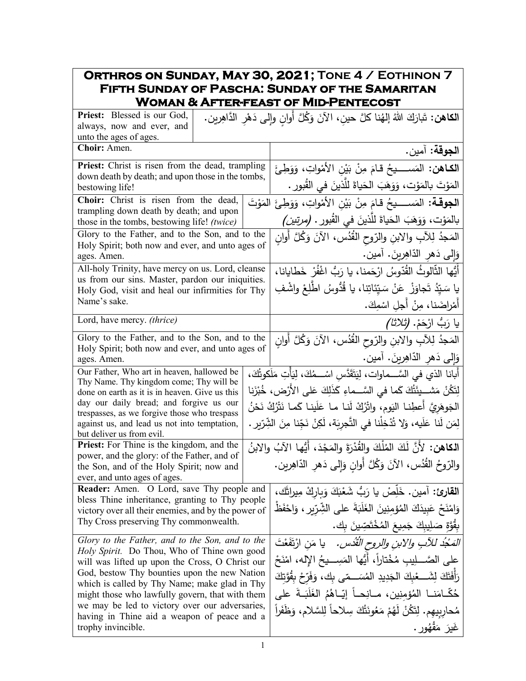## **Orthros on Sunday, May 30, 2021; Tone 4 / Eothinon 7 Fifth Sunday of Pascha: Sunday of the Samaritan Woman & After-feast of Mid-Pentecost**

| Priest: Blessed is our God,<br>always, now and ever, and                                             | ا <b>لكاهن:</b> تَبارَكَ اللهُ إلهُنا كلَّ حينِ، الآنَ وَكُلَّ أَوانِ وإلى دَهْرِ الدَّاهِرين. |                                                                                                                                         |  |
|------------------------------------------------------------------------------------------------------|------------------------------------------------------------------------------------------------|-----------------------------------------------------------------------------------------------------------------------------------------|--|
| unto the ages of ages.                                                                               |                                                                                                |                                                                                                                                         |  |
| Choir: Amen.                                                                                         |                                                                                                | ا <b>لجوقة:</b> آمين.                                                                                                                   |  |
| Priest: Christ is risen from the dead, trampling                                                     |                                                                                                | ا <b>لكـاهن:</b> المَســــيحُ قـامَ مِنْ بَيْنِ الأَمْواتِ، وَوَطِئَ                                                                    |  |
| down death by death; and upon those in the tombs,<br>bestowing life!                                 |                                                                                                | المَوْتَ بالمَوْت، وَوَهَبَ الحَياةَ للَّذينَ في القُبورِ .                                                                             |  |
| Choir: Christ is risen from the dead,                                                                |                                                                                                | ا <b>لجوقــة:</b> المَســــيحُ قـامَ مِنْ بَيْنِ الأَمْواتِ، وَوَطِئَ المَوْتَ                                                          |  |
| trampling down death by death; and upon<br>those in the tombs, bestowing life! (twice)               |                                                                                                | بالمَوْت، وَوَهَبَ الْحَياةَ للَّذينَ في القُبور . (مرتي <i>ن)</i>                                                                      |  |
| Glory to the Father, and to the Son, and to the                                                      |                                                                                                | المَجدُ لِلآبِ والابنِ والرّوحِ القُدُسِ، الآنَ وَكُلَّ أُوانِ                                                                          |  |
| Holy Spirit; both now and ever, and unto ages of<br>ages. Amen.                                      |                                                                                                | وَإِلَى دَهْرِ الدَّاهِرِينَ. آمين.                                                                                                     |  |
| All-holy Trinity, have mercy on us. Lord, cleanse                                                    |                                                                                                | أَيُّها الثَّالوثُ القُدّوسُ ارْحَمنا، يا رَبُّ اغْفُرْ خَطايانا،                                                                       |  |
| us from our sins. Master, pardon our iniquities.<br>Holy God, visit and heal our infirmities for Thy |                                                                                                | يا سَيّدُ تَجاوَزْ ۚ عَنْ سَيّئَاتِنا، يا قُدُّوسُ اطْلِعْ واشْفِ                                                                       |  |
| Name's sake.                                                                                         |                                                                                                | أَمْراضَنا، مِنْ أَجلِ اسْمِكَ.                                                                                                         |  |
| Lord, have mercy. (thrice)                                                                           |                                                                                                | ِيا رَبُّ ارْحَمْ. <i>(ثلاثا)</i>                                                                                                       |  |
| Glory to the Father, and to the Son, and to the                                                      |                                                                                                | المَجدُ لِلآبِ والابنِ والرّوحِ القُدُسِ، الآنَ وَكُلَّ أَوانِ                                                                          |  |
| Holy Spirit; both now and ever, and unto ages of<br>ages. Amen.                                      |                                                                                                | وَالِّي دَهرِ الدَّاهِرِينَ. آمين.                                                                                                      |  |
| Our Father, Who art in heaven, hallowed be                                                           |                                                                                                | أبانا الذي في السَّـــماوات، لِيَتَقَدَّس اسْـــمُكَ، لِيَأْتِ مَلَكوتُكَ،                                                              |  |
| Thy Name. Thy kingdom come; Thy will be                                                              |                                                                                                | لِتَكُنْ مَشـــيئَتُكَ كَما في السَّـــماءِ كَذَلِكَ عَلى الأَرْض، خُبْزَنا                                                             |  |
| done on earth as it is in heaven. Give us this<br>day our daily bread; and forgive us our            |                                                                                                |                                                                                                                                         |  |
| trespasses, as we forgive those who trespass                                                         |                                                                                                | الجَوهَريَّ أعطِنـا اليَوم، واتْرُكْ لَنـا مـا عَلَينـا كَمـا نَتْرُكُ نَحْنُ                                                           |  |
| against us, and lead us not into temptation,<br>but deliver us from evil.                            |                                                                                                | لِمَن لَنا عَلَيه، وَلا تُدْخِلْنا في التَّجرِبَة، لَكِنْ نَجِّنا مِنَ الشِّرِّيرِ .                                                    |  |
| <b>Priest:</b> For Thine is the kingdom, and the                                                     |                                                                                                | ا <b>لكاهن:</b> لأَنَّ لَكَ المُلْكَ والقُدْرَةَ والمَجْدَ، أَيُّها الآبُ والابنُ                                                       |  |
| power, and the glory: of the Father, and of<br>the Son, and of the Holy Spirit; now and              |                                                                                                | والرّوحُ القُدُس، الآنَ وَكُلَّ أُوانِ وَإِلَى دَهْرِ الدّاهِرِينِ.                                                                     |  |
| ever, and unto ages of ages.                                                                         |                                                                                                |                                                                                                                                         |  |
| Reader: Amen. O Lord, save Thy people and<br>bless Thine inheritance, granting to Thy people         |                                                                                                | القارئ: آمين. خَلِّصْ يا رَبُّ شَعْبَكَ وَبِارِكْ مِيراثَك،                                                                             |  |
| victory over all their enemies, and by the power of                                                  |                                                                                                | وَامْنَحْ عَبِيدَكَ الْمُؤْمِنِينَ الْغَلَبَةَ على الشِّرِّيرِ ، وَاحْفَظْ                                                              |  |
| Thy Cross preserving Thy commonwealth.                                                               |                                                                                                | بِقُوَّةٍ صَلِيبِكَ جَمِيعَ المُخْتَصِّينَ بِك.                                                                                         |  |
| Glory to the Father, and to the Son, and to the                                                      |                                                                                                | <i>المَجْدُ للآبِ والابنِ والروحِ الْقُدْس.</i> يا مَنِ ارْتَفَعْتَ<br>على الصَّـــلِيب مُخْتاراً، أَيُّها المَسِـــيحُ الإِله، امْنَحْ |  |
|                                                                                                      | Holy Spirit. Do Thou, Who of Thine own good<br>will was lifted up upon the Cross, O Christ our |                                                                                                                                         |  |
| God, bestow Thy bounties upon the new Nation<br>which is called by Thy Name; make glad in Thy        |                                                                                                | رَأَفَتَكَ لِشَـــعْبِكَ الْجَدِيدِ الْمُسَـــمّى بِكَ، وَفَرِّحْ بِقُوَّتِكَ                                                           |  |
| might those who lawfully govern, that with them                                                      |                                                                                                | حُكَّـامَنــا المُؤمِنِين، مــانِـحــاً إيّــاهُمُ الغَلَبَــةَ على                                                                     |  |
| we may be led to victory over our adversaries,<br>having in Thine aid a weapon of peace and a        |                                                                                                | مُحارِبيهم. لِتَكُنْ لَهُمْ مَعُونَتُكَ سِلاحاً لِلسَّلام، وَظَفَراً                                                                    |  |
| trophy invincible.                                                                                   |                                                                                                | غَيرَ مَقْهُورٍ .                                                                                                                       |  |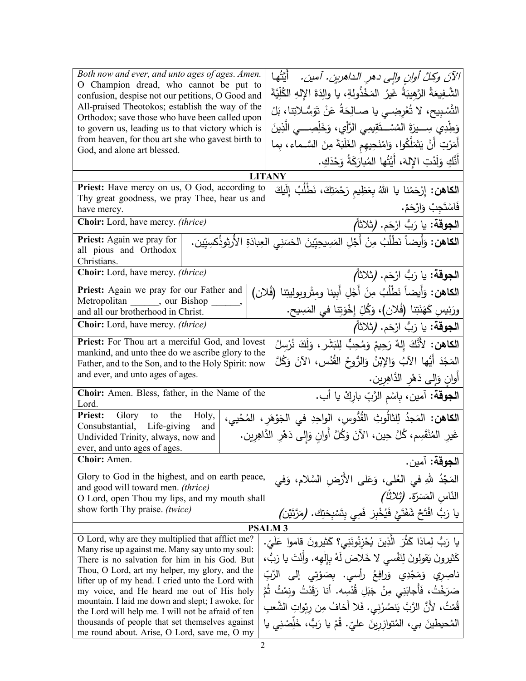| Both now and ever, and unto ages of ages. Amen.<br>O Champion dread, who cannot be put to<br>confusion, despise not our petitions, O Good and<br>All-praised Theotokos; establish the way of the<br>Orthodox; save those who have been called upon<br>to govern us, leading us to that victory which is<br>from heaven, for thou art she who gavest birth to<br>God, and alone art blessed. | أيَّتُها<br>الآنَ وكلَّ أوانِ وإلى دهرِ الداهرينِ. آمينِ.<br>الشَّـفِيعَةُ الرَّهِيبَةُ غَيرُ المَخْذُولةِ، يا والِدَةَ الإِلهِ الكُلِّيَّةَ<br>التَّسْبِيح، لا تُعْرِضِــى يا صــالِحَةُ عَنْ تَوَسُّـلاتِنا، بَلْ<br>وَطِّدِي سِــــيرَةَ المُسْـــتَقِيمِـى الرَّأْيِ، وَخَلِّصِــــى الَّذِينَ<br>أَمَرْتِ أَنْ يَتَمَلَّكُوا، وَامْنَحِيهِم الغَلَبَةَ مِنَ السَّـماء، بِما |  |
|---------------------------------------------------------------------------------------------------------------------------------------------------------------------------------------------------------------------------------------------------------------------------------------------------------------------------------------------------------------------------------------------|----------------------------------------------------------------------------------------------------------------------------------------------------------------------------------------------------------------------------------------------------------------------------------------------------------------------------------------------------------------------------------|--|
|                                                                                                                                                                                                                                                                                                                                                                                             | أَنَّكِ وَلَدْتِ الإِلهَ، أَيَّتُها المُبارَكَةُ وَحْدَكِ.                                                                                                                                                                                                                                                                                                                       |  |
| Priest: Have mercy on us, O God, according to                                                                                                                                                                                                                                                                                                                                               | <b>LITANY</b>                                                                                                                                                                                                                                                                                                                                                                    |  |
| Thy great goodness, we pray Thee, hear us and<br>have mercy.                                                                                                                                                                                                                                                                                                                                | ا <b>لكاهن:</b> إِرْحَمْنا يا اللهُ بِعَظِيمِ رَحْمَتِكَ، نَطْلُبُ إِلَيكَ<br>فَاسْتَجِبْ وَارْحَمْ.                                                                                                                                                                                                                                                                             |  |
| Choir: Lord, have mercy. (thrice)                                                                                                                                                                                                                                                                                                                                                           | ا <b>لجوقة:</b> يا رَبُّ ارْحَم. (ثلاثاً <i>)</i>                                                                                                                                                                                                                                                                                                                                |  |
| Priest: Again we pray for<br>all pious and Orthodox<br>Christians.                                                                                                                                                                                                                                                                                                                          | ا <b>لكاهن:</b> وَأَيضاً نَطْلُبُ مِنْ أَجْلِ المَسِيحِيِّينَ الحَسَنِي العِبادَةِ الأُرتِوذُكسِيِّين.                                                                                                                                                                                                                                                                           |  |
| Choir: Lord, have mercy. (thrice)                                                                                                                                                                                                                                                                                                                                                           | ا <b>لجوقة:</b> يا رَبُّ ارْحَم. (ثلاثاً <i>)</i>                                                                                                                                                                                                                                                                                                                                |  |
| Priest: Again we pray for our Father and                                                                                                                                                                                                                                                                                                                                                    | الكاهن: وَأَيضاً نَطْلُبُ مِنْ أَجْلِ أَبِينا ومِتْروبولِيتِنا (فُلان)                                                                                                                                                                                                                                                                                                           |  |
| Metropolitan ______, our Bishop<br>and all our brotherhood in Christ.                                                                                                                                                                                                                                                                                                                       | ورَئِيسِ كَهَنَتِنا (فُلان)، وَكُلِّ إِخْوَتِنا في المَسِيحِ.                                                                                                                                                                                                                                                                                                                    |  |
| <b>Choir:</b> Lord, have mercy. <i>(thrice)</i>                                                                                                                                                                                                                                                                                                                                             | ا <b>لجوقة:</b> يا رَبُّ ارْحَم. (ثلاثاً <i>)</i>                                                                                                                                                                                                                                                                                                                                |  |
| Priest: For Thou art a merciful God, and lovest                                                                                                                                                                                                                                                                                                                                             | الكاهن: لأَنَّكَ إِلهٌ رَحِيمٌ وَمُحِبٌّ لِلبَشَرِ ، وَلَكَ نُرْسِلُ                                                                                                                                                                                                                                                                                                             |  |
| mankind, and unto thee do we ascribe glory to the                                                                                                                                                                                                                                                                                                                                           |                                                                                                                                                                                                                                                                                                                                                                                  |  |
| Father, and to the Son, and to the Holy Spirit: now<br>and ever, and unto ages of ages.                                                                                                                                                                                                                                                                                                     | المَجْدَ أَيُّها الآبُ وَالإِبْنُ وَالرُّوحُ القُدُسِ، الآنَ وَكُلَّ                                                                                                                                                                                                                                                                                                             |  |
|                                                                                                                                                                                                                                                                                                                                                                                             | أُوانِ وَإِلَى دَهْرِ الدَّاهِرِينِ.                                                                                                                                                                                                                                                                                                                                             |  |
| Choir: Amen. Bless, father, in the Name of the<br>Lord.                                                                                                                                                                                                                                                                                                                                     | ا <b>لجوقة:</b> آمين، بِاسْمِ الزَّبِّ بارِكْ يا أب.                                                                                                                                                                                                                                                                                                                             |  |
| Priest: Glory to<br>the<br>Holy,                                                                                                                                                                                                                                                                                                                                                            | الكاهن: المَجدُ لِلثالُوثِ القُدُّوسِ، الواحِدِ في الجَوْهَرِ، المُحْيي،                                                                                                                                                                                                                                                                                                         |  |
| Consubstantial, Life-giving<br>and<br>غَيرِ المُنْقَسِم، كُلَّ حِين، الآنَ وَكُلَّ أُوانِ وَإِلَى دَهْرِ الدَّاهِرِينِ.<br>Undivided Trinity, always, now and                                                                                                                                                                                                                               |                                                                                                                                                                                                                                                                                                                                                                                  |  |
| ever, and unto ages of ages.                                                                                                                                                                                                                                                                                                                                                                |                                                                                                                                                                                                                                                                                                                                                                                  |  |
| Choir: Amen.                                                                                                                                                                                                                                                                                                                                                                                | ا <b>لجوقة:</b> آمين.                                                                                                                                                                                                                                                                                                                                                            |  |
| Glory to God in the highest, and on earth peace,                                                                                                                                                                                                                                                                                                                                            | المَجْدُ للهِ في العُلي، وَعَلى الأَرْضِ السَّلامِ، وَفي                                                                                                                                                                                                                                                                                                                         |  |
| and good will toward men. (thrice)<br>O Lord, open Thou my lips, and my mouth shall                                                                                                                                                                                                                                                                                                         | النّاس المَسَرّة. <i>(ثلاثاً)</i>                                                                                                                                                                                                                                                                                                                                                |  |
| show forth Thy praise. (twice)                                                                                                                                                                                                                                                                                                                                                              | يا رَبُّ افْتَحْ شَفَتَىَّ فَيُخْبِرَ فَمِي بِتَسْبِحَتِكَ. (مَرَّتَيْنِ/                                                                                                                                                                                                                                                                                                        |  |
| <b>PSALM3</b>                                                                                                                                                                                                                                                                                                                                                                               |                                                                                                                                                                                                                                                                                                                                                                                  |  |
| O Lord, why are they multiplied that afflict me?<br>Many rise up against me. Many say unto my soul:                                                                                                                                                                                                                                                                                         | يا رَبُّ لِماذا كَثَّرَ الَّذِينَ يُحْزِنُونَنِي؟ كَثيرونَ قاموا عَلَىّ.                                                                                                                                                                                                                                                                                                         |  |
| There is no salvation for him in his God. But                                                                                                                                                                                                                                                                                                                                               | كَثيرونَ يَقولونَ لِنَفْسي لا خَلاصَ لَهُ بِإِلْهِه. وأَنْتَ يا رَبُّ،                                                                                                                                                                                                                                                                                                           |  |
| Thou, O Lord, art my helper, my glory, and the                                                                                                                                                                                                                                                                                                                                              | ناصِرِي وَمَجْدِي وَرافِعُ رأسى. بِصَوْتِي إِلَى الرَّبِّ                                                                                                                                                                                                                                                                                                                        |  |
| lifter up of my head. I cried unto the Lord with<br>my voice, and He heard me out of His holy                                                                                                                                                                                                                                                                                               | صَرَخْتُ، فَأَجابَنِي مِنْ جَبَلِ قُدْسِه. أنا رَقَدْتُ ونمْتُ ثُمَّ                                                                                                                                                                                                                                                                                                             |  |
| mountain. I laid me down and slept; I awoke, for                                                                                                                                                                                                                                                                                                                                            | قُمْتُ، لأنَّ الرَّبَّ يَنصُرُني. فَلا أَخافُ مِن رِبْواتِ الشَّعبِ                                                                                                                                                                                                                                                                                                              |  |
| the Lord will help me. I will not be afraid of ten<br>thousands of people that set themselves against                                                                                                                                                                                                                                                                                       | المُحيطينَ بي، المُتوازرينَ عليّ. قُمْ يا رَبُّ، خَلِّصْنِي يا                                                                                                                                                                                                                                                                                                                   |  |
| me round about. Arise, O Lord, save me, O my                                                                                                                                                                                                                                                                                                                                                |                                                                                                                                                                                                                                                                                                                                                                                  |  |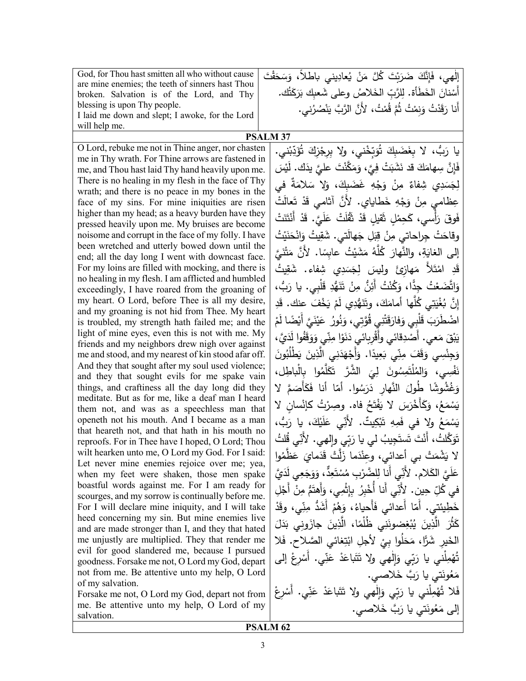| God, for Thou hast smitten all who without cause                                                         | إِلْهِي، فَإِنَّكَ ضَرَبْتَ كُلَّ مَنْ يُعادِيني باطلاً، وَسَحَقْتَ       |
|----------------------------------------------------------------------------------------------------------|---------------------------------------------------------------------------|
| are mine enemies; the teeth of sinners hast Thou                                                         |                                                                           |
| broken. Salvation is of the Lord, and Thy                                                                | أَسْنانَ الخَطَأَة. لِلرَّبِّ الخَلاصُ وعلى شَعبِكَ بَرَكَتُك.            |
| blessing is upon Thy people.<br>I laid me down and slept; I awoke, for the Lord                          | أَنا رَقَدْتُ وَنِمْتُ ثُمَّ قُمْتُ، لأَنَّ الرَّبَّ يَنْصُرُني.          |
| will help me.                                                                                            |                                                                           |
|                                                                                                          | <b>PSALM 37</b>                                                           |
| O Lord, rebuke me not in Thine anger, nor chasten                                                        | يا رَبُّ، لا بِغَضَبِكَ تُوَبِّخْني، ولا بِرِجْزِكَ تُؤَدِّبْني.          |
| me in Thy wrath. For Thine arrows are fastened in                                                        |                                                                           |
| me, and Thou hast laid Thy hand heavily upon me.                                                         | فَإِنَّ سِهامَكَ قد نَشَبَتْ فِيَّ، وَمَكَّنْتَ علـىَّ يدَك. لَيْسَ       |
| There is no healing in my flesh in the face of Thy                                                       | لِجَسَدِي شِفاءٌ مِنْ وَجْهِ غَضَبِكَ، وَلا سَلامَةٌ في                   |
| wrath; and there is no peace in my bones in the                                                          |                                                                           |
| face of my sins. For mine iniquities are risen                                                           | عِظامي مِنْ وَجْهِ خَطاياي. لأَنَّ آثامي قَدْ تَعالَتْ                    |
| higher than my head; as a heavy burden have they<br>pressed heavily upon me. My bruises are become       | فَوقَ رَأْسي، كَحِمْلٍ ثَقيلٍ قَدْ ثَقُلَتْ عَلَيَّ. قَدْ أَنْتَنَتْ      |
| noisome and corrupt in the face of my folly. I have                                                      | وقاحَتْ جِراحاتي مِنْ قِبَلِ جَهالَتي. شَقِيتُ وَانْحَنَيْتُ              |
| been wretched and utterly bowed down until the<br>end; all the day long I went with downcast face.       | إلى الغايَةِ، والنَّهارَ كُلَّهُ مَشَيْتُ عابِسًا. لأَنَّ مَتْنَيَّ       |
| For my loins are filled with mocking, and there is<br>no healing in my flesh. I am afflicted and humbled | قَدِ امْتَلاً مَهازِئَ وليسَ لِجَسَدِي شِفاء. شَقِيتُ                     |
| exceedingly, I have roared from the groaning of                                                          | وَاتَّضَعْتُ جِدًّا، وَكُنْتُ أَئِنُّ مِنْ تَنَهُّدِ قَلْبِي. يا رَبُّ،   |
| my heart. O Lord, before Thee is all my desire,<br>and my groaning is not hid from Thee. My heart        | إِنَّ بُغْيَتِي كُلُّها أَمامَكَ، وتَنَهُّدِي لَمْ يَخْفَ عنك. قَدِ       |
| is troubled, my strength hath failed me; and the                                                         | اضْطَرَبَ قَلْبِي وَفارَقَتْنِي قُوَّتِي، وَنُورُ  عَيْنَيَّ أَيْضًا لَمْ |
| light of mine eyes, even this is not with me. My<br>friends and my neighbors drew nigh over against      | يَبْقَ مَعى. أَصْدِقائي وأَقْرِبِائي دَنَوْا مِنِّي وَوَقَفُوا لَدَيَّ،   |
| me and stood, and my nearest of kin stood afar off.                                                      | وَجِنْسِي وَقَفَ مِنِّي بَعِيدًا. وَأَجْهَدَنِي الَّذِينَ يَطْلُبُونَ     |
| And they that sought after my soul used violence;                                                        | نَفْسِي، وَالمُلْتَمِسُونَ لِيَ الشَّرَّ تَكَلَّمُوا بِالْباطِل،          |
| and they that sought evils for me spake vain<br>things, and craftiness all the day long did they         | وَغُشُوشًا طُولَ النَّهارِ دَرَسُوا. أمّا أنا فَكَأَصَمَّ لا              |
| meditate. But as for me, like a deaf man I heard                                                         | يَسْمَعُ، وَكَأَخْرَسَ لا يَفْتَحُ فاه. وصِرْتُ كإنْسان لا                |
| them not, and was as a speechless man that<br>openeth not his mouth. And I became as a man               | يَسْمَعُ ولا في فَمِهِ تَبْكِيتٌ. لأَنِّي عَلَيْكَ، يا رَبُّ،             |
| that heareth not, and that hath in his mouth no                                                          | تَوَكَّلتُ، أَنْتَ تَستَجِيبُ لي يا رَبِّي وإِلهي. لأَنِّي قُلتُ          |
| reproofs. For in Thee have I hoped, O Lord; Thou<br>wilt hearken unto me, O Lord my God. For I said:     | لا يَشْمَتْ بي أعدائي، وعِنْدَما زَلَّتْ قَدَمايَ عَظَّمُوا               |
| Let never mine enemies rejoice over me; yea,                                                             |                                                                           |
| when my feet were shaken, those men spake<br>boastful words against me. For I am ready for               | عَلَيَّ الكَلامِ. لأَنِّي أنا لِلضَّرْبِ مُسْتَعِدٌّ، وَوَجَعِي لَدَيَّ   |
| scourges, and my sorrow is continually before me.                                                        | في كُلِّ حِينٍ. لأَنِّي أنا أَخْبِرُ بِإِثْمِي، وَأَهتَمُّ مِنْ أَجْلِ    |
| For I will declare mine iniquity, and I will take                                                        | خَطِينَتى. أَمّا أَعدائى فَأَحياءُ، وَهُمْ أَشَدُّ مِنِّي، وقَدْ          |
| heed concerning my sin. But mine enemies live<br>and are made stronger than I, and they that hated       | كَثُرَ  الَّذِينَ  يُبْغِضونَنِي  ظُلُمًا،  الَّذِينَ  جازَوني  بَدَلَ    |
| me unjustly are multiplied. They that render me                                                          | الْخَيْرِ شَرًّا، مَحَلُوا بِيْ لِأَجْلِ ابْتِغائي الصَّلاحِ. فَلا        |
| evil for good slandered me, because I pursued<br>goodness. Forsake me not, O Lord my God, depart         | تُهْمِلْني يا رَبِّي وَإِلْهِي ولا تَتَباعَدْ عَنِّي. أَسْرِعْ إلى        |
| not from me. Be attentive unto my help, O Lord                                                           | مَعُونَتي يا رَبَّ خَلاصي.                                                |
| of my salvation.<br>Forsake me not, O Lord my God, depart not from                                       | فَلا تُهْمِلْني يا رَبِّي وَالِْهِي ولا تَتَباعَدْ عَنِّي. أَسْرِعْ       |
| me. Be attentive unto my help, O Lord of my                                                              |                                                                           |
| salvation.                                                                                               | إلى مَعُونَتي يا رَبَّ خَلاصي.                                            |
|                                                                                                          | PSALM <sub>62</sub>                                                       |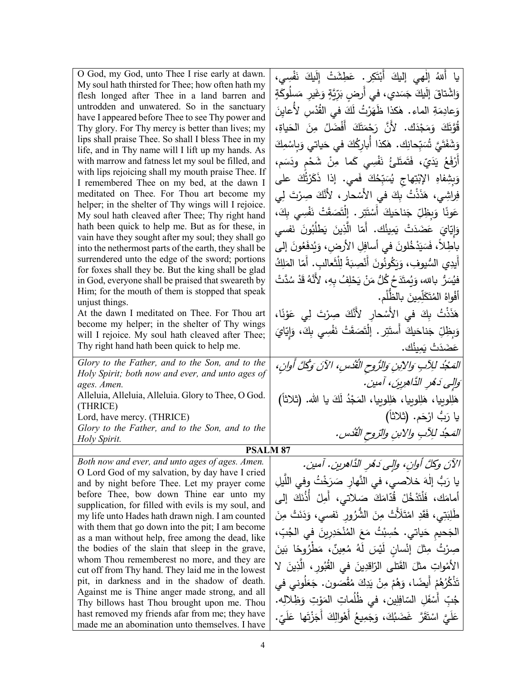| O God, my God, unto Thee I rise early at dawn.                                                           | يا أَللهُ إلْهي إليكَ أَبْتَكِرٍ. عَطِشَتْ إِلَيكَ نَفْسِي،                 |
|----------------------------------------------------------------------------------------------------------|-----------------------------------------------------------------------------|
| My soul hath thirsted for Thee; how often hath my<br>flesh longed after Thee in a land barren and        | وَاشْتاقَ إِلَيكَ جَسَدي، في أَرضِ بَرِّيَّةٍ وَغَيرِ مَسلُوكَةٍ            |
| untrodden and unwatered. So in the sanctuary                                                             |                                                                             |
| have I appeared before Thee to see Thy power and                                                         | وَعادِمَةِ الماءِ. هٰكذا ظَهَرْتُ لَكَ في القُّدْسِ لأَعايِنَ               |
| Thy glory. For Thy mercy is better than lives; my                                                        | قُوَّتَكَ وَمَجْدَكَ. لأَنَّ رَحْمَتَكَ أَفْضَلُ مِنَ الْحَياةِ،            |
| lips shall praise Thee. So shall I bless Thee in my                                                      | وَشَفَتَيَّ تُسَبِّحانِك. هٰكذا أُبارِكُكَ في حَياتي وَبِاسْمِكَ            |
| life, and in Thy name will I lift up my hands. As                                                        |                                                                             |
| with marrow and fatness let my soul be filled, and<br>with lips rejoicing shall my mouth praise Thee. If | أَرْفَعُ يَدَيّ، فَتَمتَلئُ نَفْسِي كَما مِنْ شَحْمٍ ودَسَم،                |
| I remembered Thee on my bed, at the dawn I                                                               | وَبِشِفاهِ الإِبْتِهاج يُسَبِّحُكَ فَمي. إذا ذَكَرْتُكَ على                 |
| meditated on Thee. For Thou art become my                                                                | فِراشِي، هَذَنْتُ بِكَ في الأَسْحارِ ، لأَنَّكَ صِرْتَ لِي                  |
| helper; in the shelter of Thy wings will I rejoice.                                                      |                                                                             |
| My soul hath cleaved after Thee; Thy right hand                                                          | عَونًا وَبِظِلِّ جَناحَيكَ أَسْتَتِرٍ . إِنْتَصَقَتْ نَفْسِي بِكَ،          |
| hath been quick to help me. But as for these, in<br>vain have they sought after my soul; they shall go   | وَإِيّايَ عَضَدَتْ يَمِينُك. أَمّا الَّذِينَ يَطْلُبُونَ نَفسى              |
| into the nethermost parts of the earth, they shall be                                                    | باطِلاً، فَسَيَدْخُلونَ في أسافِلِ الأرض، وَيُدفَعُونَ إلى                  |
| surrendered unto the edge of the sword; portions                                                         | أَيدِي السُّيوفِ، وَيَكُونُونَ أَنْصِبَةً لِلْثَعالبِ. أَمّا المَلِكُ       |
| for foxes shall they be. But the king shall be glad                                                      |                                                                             |
| in God, everyone shall be praised that sweareth by                                                       | فيُسَرُّ بالله، وَيُمتَدَحُ كُلُّ مَنْ يَحْلِفُ بِهِ، لأَنَّهُ قَدْ سُدَّتْ |
| Him; for the mouth of them is stopped that speak<br>unjust things.                                       | أَفْواهُ الْمُتَكَلِّمِينَ بِالظَّلْمِ.                                     |
| At the dawn I meditated on Thee. For Thou art                                                            | هَذَنْتُ بِكَ في الأَسْحارِ لأَنَّكَ صِرْتَ لِي عَوْنًا،                    |
| become my helper; in the shelter of Thy wings                                                            | وَبِظِلِّ جَناحَيكَ أَستَتِرٍ . إِنْتَصَقَتْ نَفْسِي بِكَ، وَإِيّايَ        |
| will I rejoice. My soul hath cleaved after Thee;                                                         |                                                                             |
| Thy right hand hath been quick to help me.                                                               | عَضَدَتْ يَمِينُك.                                                          |
| Glory to the Father, and to the Son, and to the                                                          | المَعْبُدُ للِأَبِ وَالِأَبِنِ وَالرُّوحِ الْقُدُسِ، الآنَ وَكُلَّ أُوانِ،  |
| Holy Spirit; both now and ever, and unto ages of<br>ages. Amen.                                          | وَالِي دَهْرِ الذَّاهِرِينَ، آمين.                                          |
| Alleluia, Alleluia, Alleluia. Glory to Thee, O God.                                                      | هَلِلوبِيا، هَلِلوبِيا، هَلِلوبِيا، المَجْدُ لَكَ يا الله. (ثلاثاً)         |
| (THRICE)                                                                                                 |                                                                             |
| Lord, have mercy. (THRICE)                                                                               | يا رَبُّ ارْحَم. (ثلاثاً)                                                   |
| Glory to the Father, and to the Son, and to the<br>Holy Spirit.                                          | المَحدُ للِآبِ والابنِ والتروحِ القُدْسِ.                                   |
| <b>PSALM 87</b>                                                                                          |                                                                             |
| Both now and ever, and unto ages of ages. Amen.                                                          | الآنَ وكلَّ أوانِ، وإلى دَهْرِ الدَّاهرينِ. آمين.                           |
| O Lord God of my salvation, by day have I cried                                                          |                                                                             |
| and by night before Thee. Let my prayer come                                                             | يا رَبُّ إِلٰهَ خلاصي، في النَّهارِ صَرَخْتُ وفي اللَّيلِ                   |
| before Thee, bow down Thine ear unto my<br>supplication, for filled with evils is my soul, and           | أَمامَكَ، فَلْتَذْخُلْ قُدّامَكَ صَلاتي، أَمِلْ أَذُنَكَ إِلَى              |
| my life unto Hades hath drawn nigh. I am counted                                                         | طَٰلِبَتِي، فَقَدِ امْتَلَأْتْ مِنَ الشَّرُورِ نَفسي، وَدَنَتْ مِنَ         |
| with them that go down into the pit; I am become                                                         | الْجَحيم حَياتي. حُسِبْتُ مَعَ الْمُنْحَدِرِينَ في الْجُبِّ،                |
| as a man without help, free among the dead, like                                                         |                                                                             |
| the bodies of the slain that sleep in the grave,                                                         | صِرْتُ مِثْلَ إِنْسانٍ لَيْسَ لَهُ مُعِينٌ، مَطْرُوحًا بَينَ                |
| whom Thou rememberest no more, and they are<br>cut off from Thy hand. They laid me in the lowest         | الأَمْواتِ مثلَ الفَتلى الرّاقدِينَ في القُبُورِ ، الَّذِينَ لا             |
| pit, in darkness and in the shadow of death.                                                             | تَذْكُرُهُمْ أَيضًا، وَهُمْ مِنْ يَدِكَ مُقْصَون. جَعَلُوني في              |
| Against me is Thine anger made strong, and all                                                           | جُبِّ أَسْفَلِ السّافِلِينِ، في ظُلُماتِ المَوْتِ وَظِلالِه.                |
| Thy billows hast Thou brought upon me. Thou                                                              |                                                                             |
| hast removed my friends afar from me; they have<br>made me an abomination unto themselves. I have        | عَلَيَّ اسْتَقَرَّ  غَضَبُكَ، وَجَمِيعُ أَهْوالِكَ أَجَزْتَها عَلَىّ.       |
|                                                                                                          |                                                                             |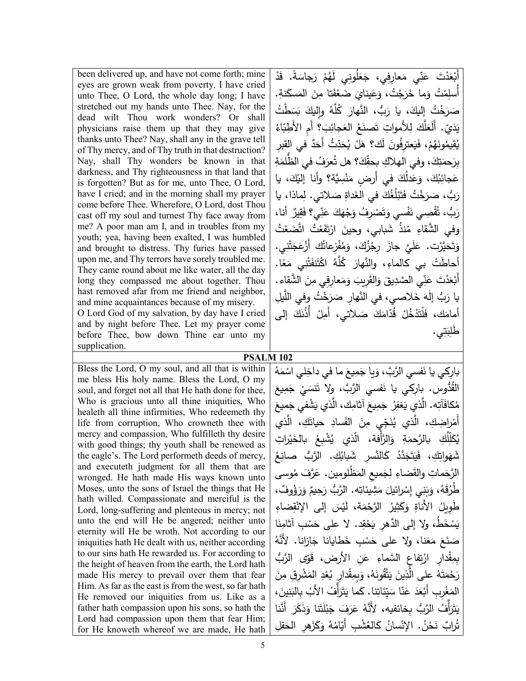| been delivered up, and have not come forth; mine<br>eyes are grown weak from poverty. I have cried<br>unto Thee, O Lord, the whole day long; I have<br>stretched out my hands unto Thee. Nay, for the<br>dead wilt Thou work wonders? Or shall                                                                                                                                                                                                                                                                                                                                                                                                                                                                                                                                                                                                                                                                                                                                                                                                                                                                                                                                                                                                                         | أَبْعَدْتَ عَنِّي مَعارِفِي، جَعَلُونِي لَهُمْ رَجاسَةً. قَدْ<br>أسلِمْتُ وَما خَرَجْتُ، وَعَينايَ ضَعُفَتا مِنَ المَسكَنةِ.<br>صَرَخْتُ إِلَيكَ، يا رَبُّ، النَّهارَ كُلَّهُ وإليكَ بَسَطْتُ                                                                                                                                                                                                                                                                                                                                                                                                                                                                                                                                                                                                                                                                                                                                                                                                                                                                                                                           |
|------------------------------------------------------------------------------------------------------------------------------------------------------------------------------------------------------------------------------------------------------------------------------------------------------------------------------------------------------------------------------------------------------------------------------------------------------------------------------------------------------------------------------------------------------------------------------------------------------------------------------------------------------------------------------------------------------------------------------------------------------------------------------------------------------------------------------------------------------------------------------------------------------------------------------------------------------------------------------------------------------------------------------------------------------------------------------------------------------------------------------------------------------------------------------------------------------------------------------------------------------------------------|-------------------------------------------------------------------------------------------------------------------------------------------------------------------------------------------------------------------------------------------------------------------------------------------------------------------------------------------------------------------------------------------------------------------------------------------------------------------------------------------------------------------------------------------------------------------------------------------------------------------------------------------------------------------------------------------------------------------------------------------------------------------------------------------------------------------------------------------------------------------------------------------------------------------------------------------------------------------------------------------------------------------------------------------------------------------------------------------------------------------------|
| physicians raise them up that they may give<br>thanks unto Thee? Nay, shall any in the grave tell<br>of Thy mercy, and of Thy truth in that destruction?<br>Nay, shall Thy wonders be known in that<br>darkness, and Thy righteousness in that land that<br>is forgotten? But as for me, unto Thee, O Lord,<br>have I cried; and in the morning shall my prayer<br>come before Thee. Wherefore, O Lord, dost Thou<br>cast off my soul and turnest Thy face away from<br>me? A poor man am I, and in troubles from my                                                                                                                                                                                                                                                                                                                                                                                                                                                                                                                                                                                                                                                                                                                                                   | يَدَيِّ. أَلَعَلَّكَ لِلأَمواتِ تَصنَعُ العَجائِبَ؟ أم الأَطِبّاءُ<br>يُقِيمُونَهُمْ، فَيَعترِفُونَ لَك؟ هَلْ يُحَدِّثُ أَحَدٌ فـى القبر<br>بِرَحمَتِكَ، وفي الهلاكِ بحقِّكَ؟ هل تُعرَفُ في الظَّلمَةِ<br>عَجائِبُكَ، وَعَدلُكَ في أَرضِ مَنْسِيَّة؟ وأنا إليْكَ، يا<br>رَبُّ، صَرَخْتُ فَتَبْلُغُكَ في الغَداةِ صَلاتي. لِماذا، يا<br>رَبُّ، تُقْصِى نَفْسى وَتَصْرِفُ وَجْهَكَ عَنِّى؟ فَقِيرٌ أَنا،                                                                                                                                                                                                                                                                                                                                                                                                                                                                                                                                                                                                                                                                                                                  |
| youth; yea, having been exalted, I was humbled<br>and brought to distress. Thy furies have passed<br>upon me, and Thy terrors have sorely troubled me.<br>They came round about me like water, all the day<br>long they compassed me about together. Thou<br>hast removed afar from me friend and neighbor,<br>and mine acquaintances because of my misery.<br>O Lord God of my salvation, by day have I cried<br>and by night before Thee. Let my prayer come<br>before Thee, bow down Thine ear unto my<br>supplication.                                                                                                                                                                                                                                                                                                                                                                                                                                                                                                                                                                                                                                                                                                                                             | وفي الشَّقاءِ مُنذُ شَبابي، وحينَ ارْتَفَعْتُ اتَّضَعْتُ<br>وَتَحَيَّرْت. عَلَيَّ جازَ رِجْزُكَ، وَمُفْزِعاتُك أَزْعَجَتْنِي.<br>أَحاطَتْ بي كالماءِ، والنَّهارَ كُلَّهُ اكْتَنفَتْنِي مَعًا.<br>أَبْعَدْتَ عَنِّي الصَّدِيقَ وَالقَرِيبَ وَمَعارِفِي مِنَ الشَّقاءِ.<br>يا رَبُّ إلٰهَ خَلاصي، في النَّهارِ صَرَخْتُ وفي اللَّيلِ<br>أمامَك، فَلْتَدْخُلْ قُدّامَكَ صَلاتي، أَمِلْ أَذُنَكَ إلى<br>طلِبَتِي.                                                                                                                                                                                                                                                                                                                                                                                                                                                                                                                                                                                                                                                                                                           |
| PSALM <sub>102</sub>                                                                                                                                                                                                                                                                                                                                                                                                                                                                                                                                                                                                                                                                                                                                                                                                                                                                                                                                                                                                                                                                                                                                                                                                                                                   |                                                                                                                                                                                                                                                                                                                                                                                                                                                                                                                                                                                                                                                                                                                                                                                                                                                                                                                                                                                                                                                                                                                         |
| Bless the Lord, O my soul, and all that is within<br>me bless His holy name. Bless the Lord, O my<br>soul, and forget not all that He hath done for thee,<br>Who is gracious unto all thine iniquities, Who<br>healeth all thine infirmities, Who redeemeth thy<br>life from corruption, Who crowneth thee with<br>mercy and compassion, Who fulfilleth thy desire<br>with good things; thy youth shall be renewed as<br>the eagle's. The Lord performeth deeds of mercy,<br>and executeth judgment for all them that are<br>wronged. He hath made His ways known unto<br>Moses, unto the sons of Israel the things that He<br>hath willed. Compassionate and merciful is the<br>Lord, long-suffering and plenteous in mercy; not<br>unto the end will He be angered; neither unto<br>eternity will He be wroth. Not according to our<br>iniquities hath He dealt with us, neither according<br>to our sins hath He rewarded us. For according to<br>the height of heaven from the earth, the Lord hath<br>made His mercy to prevail over them that fear<br>Him. As far as the east is from the west, so far hath<br>He removed our iniquities from us. Like as a<br>father hath compassion upon his sons, so hath the<br>Lord had compassion upon them that fear Him; | بارِكي يا نَفسي الرَّبَّ، وَيا جَمِيعَ ما في داخِلي اسْمَهُ<br>القُدُّوس. بارِكي يا نَفسي الرَّبَّ، ولا تَنسَيْ جَمِيعَ<br>مُكافَأَتِه. الَّذي يَغفِرُ جَمِيعَ أثامِك، الَّذي يَشْفي جَميعَ<br>أَمْراضِكِ، الَّذي يُنَجِّى مِنَ الفَسادِ حياتَكِ، الَّذي<br>يُكَلِّلُكِ   بالرَّحمَةِ    وَالرَّأفة،    الَّذي    يُشْبِعُ    بالخَيْراتِ<br>شَهَواتِكِ، فَيَتَجَدَّدُ كَالنَّسرِ شَبابُكِ. الرَّبُ صانِعُ<br>الرَّحَماتِ والقَضاءِ لِجَميعِ المَظْلُومينِ. عَرَّفَ مُوسى<br>طْرُقَهُ، وَبَنِي إِسْرائيلَ مَشِيئاتِه. الرَّبُّ رَحِيمٌ وَرَؤُوفٌ،<br>طُويِلُ الأَناةِ وَكَثِيرُ الرَّحْمَةِ، لَيْسَ إِلَى الإِنْقِضاءِ<br>يَسْخَطُ، ولا إلى الدَّهر يَحْقِد. لا على حَسْبِ آثامِنَا<br>صَنَعَ مَعَنا، ولا على حَسْبٍ خَطايانا جَازانا. لأنَّهُ<br>بمِقْدارِ ارْتِفاعِ السَّماءِ عَنِ الأرضِ، قَوِّي الرَّبُّ<br>رَحْمَتَهُ على الَّذِينَ يَتَّقُونَهُ، وَبِمِقْدارٍ بُعْدِ المَشْرِقِ مِنَ<br>المَغْربِ أَبْعَدَ عَنّا سَيّئاتِنا. كَما يَتَرَأفُ الأَبُ بالبَنِينَ،<br>يَتَزَأْفُ الرَّبُّ بخائفيه، لأَنَّهُ عَرَفَ جَبْلَتَنا وَذَكَرَ أَنَّنا<br>تُرابٌ نَحْنُ. الإِنْسانُ كَالعُشْبِ أَيّامُهُ وَكَزَهِرِ الْحَقْلِ |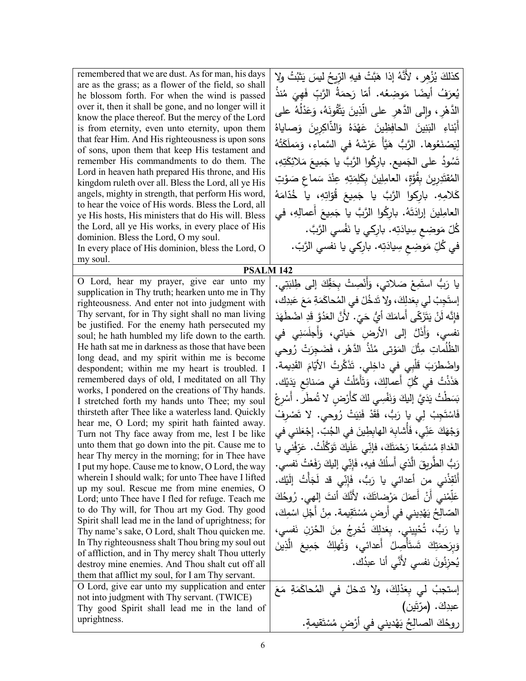| remembered that we are dust. As for man, his days<br>are as the grass; as a flower of the field, so shall<br>he blossom forth. For when the wind is passed<br>over it, then it shall be gone, and no longer will it<br>know the place thereof. But the mercy of the Lord<br>is from eternity, even unto eternity, upon them<br>that fear Him. And His righteousness is upon sons<br>of sons, upon them that keep His testament and<br>remember His commandments to do them. The<br>Lord in heaven hath prepared His throne, and His<br>kingdom ruleth over all. Bless the Lord, all ye His<br>angels, mighty in strength, that perform His word,<br>to hear the voice of His words. Bless the Lord, all<br>ye His hosts, His ministers that do His will. Bless<br>the Lord, all ye His works, in every place of His<br>dominion. Bless the Lord, O my soul.<br>In every place of His dominion, bless the Lord, O<br>my soul.<br><b>PSALM 142</b> | كذلكَ يُزْهِرٍ ، لأنَّهُ إذا هَبَّتْ فيهِ الرّيحُ ليسَ يَثْبُتُ ولا<br>يُعرَفُ أيضًا مَوضِعُه. أمّا رَحمَةُ الرَّبِّ فَهِيَ مُنذُ<br>الدَّهْرِ ، وإلى الدَّهرِ على الَّذِينَ يَتَّقُونَهُ، وَعَدْلُهُ على<br>أبْناءِ البَنِينَ الحافِظِينَ عَهْدَهُ وَالذّاكِرِينَ وَصاياهُ<br>لِيَصْنَعُوها. الرَّبُّ هَيَّأَ عَرْشَهُ في السَّماءِ، وَمَملَكَتُهُ<br>تَسُودُ على الجَميع. باركُوا الرَّبَّ يا جَمِيعَ مَلائِكَتِهِ،<br>المُقتَدِرِينَ بِقُوَّةٍ، العامِلِينَ بِكَلِمَتِهِ عِنْدَ سَماعٍ صَوْتِ<br>كَلامِهِ. باركوا الرَّبَّ يا جَمِيعَ قُوّاتِهِ، يا خُدّامَهُ<br>العامِلينَ إرادَتَهُ. بارِكُوا الرَّبَّ يا جَمِيعَ أَعمالِهِ، في<br>ݣُلّ مَوضِع سِيادَتِه. بارِكي يا نَفْسي الرَّبَّ.<br>في كُلِّ مَوضِعٍ سِيادَتِه. بارِكي يا نفسي الرَّبّ. |
|--------------------------------------------------------------------------------------------------------------------------------------------------------------------------------------------------------------------------------------------------------------------------------------------------------------------------------------------------------------------------------------------------------------------------------------------------------------------------------------------------------------------------------------------------------------------------------------------------------------------------------------------------------------------------------------------------------------------------------------------------------------------------------------------------------------------------------------------------------------------------------------------------------------------------------------------------|--------------------------------------------------------------------------------------------------------------------------------------------------------------------------------------------------------------------------------------------------------------------------------------------------------------------------------------------------------------------------------------------------------------------------------------------------------------------------------------------------------------------------------------------------------------------------------------------------------------------------------------------------------------------------------------------------------------------------------------------------|
| O Lord, hear my prayer, give ear unto my                                                                                                                                                                                                                                                                                                                                                                                                                                                                                                                                                                                                                                                                                                                                                                                                                                                                                                         | يا رَبُّ استَمِعْ صَلاتي، وَأَنْصِتْ بِحَقِّكَ إلى طِلْبَتِي.                                                                                                                                                                                                                                                                                                                                                                                                                                                                                                                                                                                                                                                                                    |
| supplication in Thy truth; hearken unto me in Thy<br>righteousness. And enter not into judgment with                                                                                                                                                                                                                                                                                                                                                                                                                                                                                                                                                                                                                                                                                                                                                                                                                                             | إِستَجِبْ لي بِعَدلِكَ، ولا تَدخُلْ في المُحاكَمَةِ مَعَ عَبِدِكَ،                                                                                                                                                                                                                                                                                                                                                                                                                                                                                                                                                                                                                                                                               |
| Thy servant, for in Thy sight shall no man living                                                                                                                                                                                                                                                                                                                                                                                                                                                                                                                                                                                                                                                                                                                                                                                                                                                                                                | فإِنَّه لَنْ يَتَزَكَّى أَمامَكَ أَيُّ حَيّ. لأَنَّ العَدُوَّ قَدِ اضْطَهَدَ                                                                                                                                                                                                                                                                                                                                                                                                                                                                                                                                                                                                                                                                     |
| be justified. For the enemy hath persecuted my                                                                                                                                                                                                                                                                                                                                                                                                                                                                                                                                                                                                                                                                                                                                                                                                                                                                                                   |                                                                                                                                                                                                                                                                                                                                                                                                                                                                                                                                                                                                                                                                                                                                                  |
| soul; he hath humbled my life down to the earth.<br>He hath sat me in darkness as those that have been                                                                                                                                                                                                                                                                                                                                                                                                                                                                                                                                                                                                                                                                                                                                                                                                                                           | نفسي، وَأَذَلَّ إلى الأرضِ حَياتي، وَأَجلَسَنِي في                                                                                                                                                                                                                                                                                                                                                                                                                                                                                                                                                                                                                                                                                               |
| long dead, and my spirit within me is become                                                                                                                                                                                                                                                                                                                                                                                                                                                                                                                                                                                                                                                                                                                                                                                                                                                                                                     | الظُّلَماتِ مِثْلَ المَوْتي مُنْذُ الدَّهْرِ ، فَضَجِرَتْ رُوحي                                                                                                                                                                                                                                                                                                                                                                                                                                                                                                                                                                                                                                                                                  |
| despondent; within me my heart is troubled. I                                                                                                                                                                                                                                                                                                                                                                                                                                                                                                                                                                                                                                                                                                                                                                                                                                                                                                    | واضْطْرَبَ قَلْبِي في داخِلي. تَذَكَّرْتُ الأيّامَ القَدِيمة.                                                                                                                                                                                                                                                                                                                                                                                                                                                                                                                                                                                                                                                                                    |
| remembered days of old, I meditated on all Thy                                                                                                                                                                                                                                                                                                                                                                                                                                                                                                                                                                                                                                                                                                                                                                                                                                                                                                   | هَذَذْتُ في كُلِّ أعمالِكَ، وَتَأَمَّلْتُ في صَنائِع يَدَيْك.                                                                                                                                                                                                                                                                                                                                                                                                                                                                                                                                                                                                                                                                                    |
| works, I pondered on the creations of Thy hands.<br>I stretched forth my hands unto Thee; my soul                                                                                                                                                                                                                                                                                                                                                                                                                                                                                                                                                                                                                                                                                                                                                                                                                                                | بَسَطْتُ يَدَيَّ إِليكَ وَنَفْسِى لَكَ كَأَرْضٍ لا تُمطَّر . أَسْرِعْ                                                                                                                                                                                                                                                                                                                                                                                                                                                                                                                                                                                                                                                                            |
| thirsteth after Thee like a waterless land. Quickly                                                                                                                                                                                                                                                                                                                                                                                                                                                                                                                                                                                                                                                                                                                                                                                                                                                                                              | فَاسْتَجِبْ لِي يا رَبُّ، فَقَدْ فَنِيَتْ رُوِحي. لا تَصْرِفْ                                                                                                                                                                                                                                                                                                                                                                                                                                                                                                                                                                                                                                                                                    |
| hear me, O Lord; my spirit hath fainted away.                                                                                                                                                                                                                                                                                                                                                                                                                                                                                                                                                                                                                                                                                                                                                                                                                                                                                                    | وَجْهَكَ عَنِّي، فَأَشابِهَ الهابِطِينَ في الْجُبِّ. إِجْعَلني في                                                                                                                                                                                                                                                                                                                                                                                                                                                                                                                                                                                                                                                                                |
| Turn not Thy face away from me, lest I be like<br>unto them that go down into the pit. Cause me to                                                                                                                                                                                                                                                                                                                                                                                                                                                                                                                                                                                                                                                                                                                                                                                                                                               | الغَداةِ مُسْتَمِعًا رَحْمَتَكَ، فإنِّي عَلَيكَ تَوَكَّلْتُ. عَرّفْني يا                                                                                                                                                                                                                                                                                                                                                                                                                                                                                                                                                                                                                                                                         |
| hear Thy mercy in the morning; for in Thee have                                                                                                                                                                                                                                                                                                                                                                                                                                                                                                                                                                                                                                                                                                                                                                                                                                                                                                  |                                                                                                                                                                                                                                                                                                                                                                                                                                                                                                                                                                                                                                                                                                                                                  |
| I put my hope. Cause me to know, O Lord, the way                                                                                                                                                                                                                                                                                                                                                                                                                                                                                                                                                                                                                                                                                                                                                                                                                                                                                                 | رَبُّ الطَّرِيقَ الَّذي أَسلُكُ فيهِ، فَإِنِّي إليكَ رَفَعْتُ نَفسي.                                                                                                                                                                                                                                                                                                                                                                                                                                                                                                                                                                                                                                                                             |
| wherein I should walk; for unto Thee have I lifted<br>up my soul. Rescue me from mine enemies, O                                                                                                                                                                                                                                                                                                                                                                                                                                                                                                                                                                                                                                                                                                                                                                                                                                                 | أَنْقِذْني من أعدائي يا رَبٌّ، فَإِنِّي قد لَجَأْتُ إِلَيْك.                                                                                                                                                                                                                                                                                                                                                                                                                                                                                                                                                                                                                                                                                     |
| Lord; unto Thee have I fled for refuge. Teach me                                                                                                                                                                                                                                                                                                                                                                                                                                                                                                                                                                                                                                                                                                                                                                                                                                                                                                 | عَلِّمْنِي أَنْ أَعمَلَ مَرْضاتَكَ، لأَنَّكَ أَنتَ إلهي. رُوحُكَ                                                                                                                                                                                                                                                                                                                                                                                                                                                                                                                                                                                                                                                                                 |
| to do Thy will, for Thou art my God. Thy good                                                                                                                                                                                                                                                                                                                                                                                                                                                                                                                                                                                                                                                                                                                                                                                                                                                                                                    | الصّالِحُ يَهْدِيني في أرضٍ مُسْتَقِيمة. مِنْ أَجْلِ اسْمِكَ،                                                                                                                                                                                                                                                                                                                                                                                                                                                                                                                                                                                                                                                                                    |
| Spirit shall lead me in the land of uprightness; for<br>Thy name's sake, O Lord, shalt Thou quicken me.                                                                                                                                                                                                                                                                                                                                                                                                                                                                                                                                                                                                                                                                                                                                                                                                                                          | يا رَبُّ، تُحْيِيني. بِعَدلِكَ تُخرجُ مِنَ الحُزنِ نَفسي،                                                                                                                                                                                                                                                                                                                                                                                                                                                                                                                                                                                                                                                                                        |
| In Thy righteousness shalt Thou bring my soul out                                                                                                                                                                                                                                                                                                                                                                                                                                                                                                                                                                                                                                                                                                                                                                                                                                                                                                | وَبِرَحمَتِكَ شَىتَأْصِلُ أَعدائى، وَتُهلِكُ جَمِيعَ الَّذِينَ                                                                                                                                                                                                                                                                                                                                                                                                                                                                                                                                                                                                                                                                                   |
| of affliction, and in Thy mercy shalt Thou utterly                                                                                                                                                                                                                                                                                                                                                                                                                                                                                                                                                                                                                                                                                                                                                                                                                                                                                               | يُحزِنُونَ نفسي لأَنَّى أنا عبدُك.                                                                                                                                                                                                                                                                                                                                                                                                                                                                                                                                                                                                                                                                                                               |
| destroy mine enemies. And Thou shalt cut off all<br>them that afflict my soul, for I am Thy servant.                                                                                                                                                                                                                                                                                                                                                                                                                                                                                                                                                                                                                                                                                                                                                                                                                                             |                                                                                                                                                                                                                                                                                                                                                                                                                                                                                                                                                                                                                                                                                                                                                  |
| O Lord, give ear unto my supplication and enter                                                                                                                                                                                                                                                                                                                                                                                                                                                                                                                                                                                                                                                                                                                                                                                                                                                                                                  | إستجبْ لي بِعَدْلِكَ، ولا تدخلْ في المُحاكَمَةِ مَعَ                                                                                                                                                                                                                                                                                                                                                                                                                                                                                                                                                                                                                                                                                             |
| not into judgment with Thy servant. (TWICE)                                                                                                                                                                                                                                                                                                                                                                                                                                                                                                                                                                                                                                                                                                                                                                                                                                                                                                      |                                                                                                                                                                                                                                                                                                                                                                                                                                                                                                                                                                                                                                                                                                                                                  |
| Thy good Spirit shall lead me in the land of<br>uprightness.                                                                                                                                                                                                                                                                                                                                                                                                                                                                                                                                                                                                                                                                                                                                                                                                                                                                                     | عبدِكَ. (مرّتَين)                                                                                                                                                                                                                                                                                                                                                                                                                                                                                                                                                                                                                                                                                                                                |
|                                                                                                                                                                                                                                                                                                                                                                                                                                                                                                                                                                                                                                                                                                                                                                                                                                                                                                                                                  | روحُكَ الصالِحُ يَهْديني في أَرْضِ مُسْتَقيمةٍ.                                                                                                                                                                                                                                                                                                                                                                                                                                                                                                                                                                                                                                                                                                  |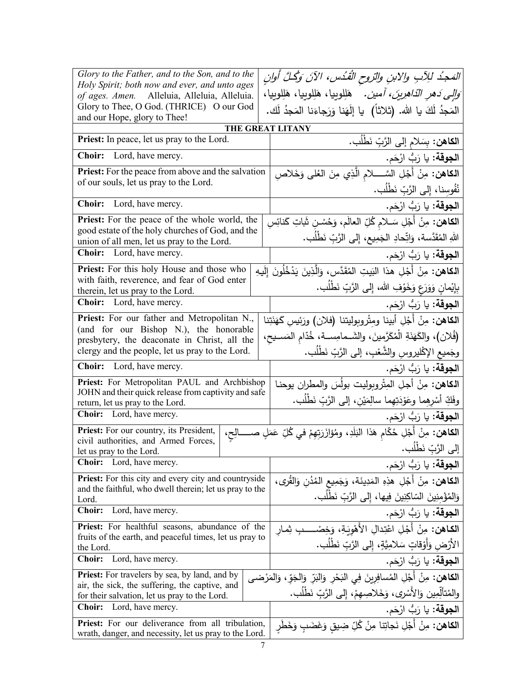| Glory to the Father, and to the Son, and to the                                                                                                                    | المَجدُ للِآبِ والابنِ والتروحِ القُدُسِ، الآنَ وَكُلَّ أُوانِ                                 |
|--------------------------------------------------------------------------------------------------------------------------------------------------------------------|------------------------------------------------------------------------------------------------|
| Holy Spirit; both now and ever, and unto ages<br>of ages. Amen. Alleluia, Alleluia, Alleluia.                                                                      | <i>َوَالِي دَهرِ الدَّاهِرِينَ، أَمين.</i> هَلِلوييا، هَلِلوييا، هَلِلوييا،                    |
| Glory to Thee, O God. (THRICE) O our God                                                                                                                           | المَجِدُ لَكَ يا الله. (ثلاثاً)  يا إِلَهَنا وَرَجاءَنا المَجِدُ لَك.                          |
| and our Hope, glory to Thee!                                                                                                                                       | <b>THE GREAT LITANY</b>                                                                        |
| Priest: In peace, let us pray to the Lord.                                                                                                                         | ا <b>لكاهن:</b> بِسَلام إلى الرَّبِّ نَطْلُب <b>.</b>                                          |
| Choir: Lord, have mercy.                                                                                                                                           | ا <b>لجوقة:</b> يا رَبُّ ارْحَم.                                                               |
| <b>Priest:</b> For the peace from above and the salvation                                                                                                          | ا <b>لكاهن:</b> مِنْ أَجْلِ السَّـــــلام الَّذِي مِنَ العُلى وَخَلاصِ                         |
| of our souls, let us pray to the Lord.                                                                                                                             | نُفُوسِنا، إِلى الرَّبِّ نَطْلُب.                                                              |
| Choir:<br>Lord, have mercy.                                                                                                                                        | ا <b>لجوقة:</b> يا رَبُّ ارْحَم.                                                               |
| <b>Priest:</b> For the peace of the whole world, the                                                                                                               | ا <b>لكاهن:</b> مِنْ أَجْلِ سَـلام كُلِّ العالَم، وَحُسْـنِ شَاتِ كَنائِسِ                     |
| good estate of the holy churches of God, and the<br>union of all men, let us pray to the Lord.                                                                     | اللهِ المُقَدَّسة، وَاتِّحادِ الجَمِيعِ، إِلى الرَّبِّ نَطْلُبٍ.                               |
| <b>Choir:</b> Lord, have mercy.                                                                                                                                    | ا <b>لجوقة</b> : يا رَبُّ ارْحَم.                                                              |
| Priest: For this holy House and those who                                                                                                                          | ا <b>لكاهن:</b> مِنْ أَجْلِ هذا البَيتِ المُقَدَّسِ، وَالَّذِينَ يَدْخُلُونَ إِلَيهِ           |
| with faith, reverence, and fear of God enter<br>therein, let us pray to the Lord.                                                                                  | بِإِيْمانِ وَوَرَعٍ وَخَوْفِ الله، إِلى الرَّبِّ نَطْلُبٍ.                                     |
| <b>Choir:</b> Lord, have mercy.                                                                                                                                    | ا <b>لجوقة:</b> يا رَبُّ ارْحَم.                                                               |
| Priest: For our father and Metropolitan N.,                                                                                                                        | ا <b>لكاهن:</b> مِنْ أَجْلِ أبينا ومِثْروبوليتنا (فلان) ورَئيسٍ كَهَنَتِنا                     |
| (and for our Bishop N.), the honorable<br>(فُلان)، والكَهَنَةِ الْمُكَرَّمينَ، والشَــمامِســة، خُدّامِ المَســيح،<br>presbytery, the deaconate in Christ, all the |                                                                                                |
| وجَميع الإكْليروسِ والشَّعْبِ، إلى الرَّبِّ نَطْلَب.<br>clergy and the people, let us pray to the Lord.                                                            |                                                                                                |
| Choir: Lord, have mercy.                                                                                                                                           | ا <b>لجوقة:</b> يا رَبُّ ارْحَم.                                                               |
| Priest: For Metropolitan PAUL and Archbishop<br>JOHN and their quick release from captivity and safe                                                               | ا <b>لكاهن:</b> مِنْ أجلِ المِتْروبِوليت بولُسَ والمطران يوحنـا                                |
| return, let us pray to the Lord.                                                                                                                                   | وفَكِّ أَسْرِهِما وعَوْدَتِهِما سالِمَيْنِ، إلى الرَّبِّ نَطْلُبٍ.                             |
| Choir: Lord, have mercy.                                                                                                                                           | ا <b>لجوقة:</b> يا رَبُّ ارْحَم.                                                               |
| Priest: For our country, its President,<br>civil authorities, and Armed Forces,                                                                                    | ا <b>لكاهن:</b> مِنْ أَجْلِ حُكّامٍ هَذا النَلَدِ، ومُؤازَرَتِهِمْ في كُلِّ عَمَلٍ صـــــالِح، |
| let us pray to the Lord.                                                                                                                                           | إلى الرَّبِّ نَطْلُب.                                                                          |
| <b>Choir:</b> Lord, have mercy.                                                                                                                                    | ا <b>لجوقة:</b> يا رَبُّ ارْحَم.                                                               |
| Priest: For this city and every city and countryside<br>and the faithful, who dwell therein; let us pray to the                                                    | ا <b>لكاهن:</b> مِنْ أَجْلِ هذِهِ المَدِينَة، وَجَمِيعِ المُدُنِ وَالقُرى،                     |
| Lord.                                                                                                                                                              | وَالْمُؤْمِنِينَ السّاكِنِينَ فِيها، إِلى الرَّبِّ نَطْلُب.                                    |
| Lord, have mercy.<br><b>Choir:</b>                                                                                                                                 | ا <b>لجوقة:</b> يا رَبُّ ارْحَم.                                                               |
| <b>Priest:</b> For healthful seasons, abundance of the<br>fruits of the earth, and peaceful times, let us pray to                                                  | <b>الكـاهن:</b> مِنْ أَجْلِ اعْتِدالِ الأَهْوِيَـةِ، وَخِصْـــــبِ ثِمـار                      |
| the Lord.                                                                                                                                                          | الأَرْض وَأَوْقاتٍ سَلامِيَّةٍ، إِلى الرَّبِّ نَطْلَب.                                         |
| Lord, have mercy.<br><b>Choir:</b>                                                                                                                                 | ا <b>لجوقة:</b> يا رَبُّ ارْحَم.                                                               |
| <b>Priest:</b> For travelers by sea, by land, and by<br>air, the sick, the suffering, the captive, and                                                             | ا <b>لكاهن:</b> مِنْ أَجْلِ المُسافِرِينَ فِي البَحْرِ وَالبَرِّ وَالجَوِّ ، وَالمَرْضـى       |
| for their salvation, let us pray to the Lord.                                                                                                                      | والمُتألِّمِين وَالأَسْرِى، وَخَلاصِهِمْ، إِلى الرَّبِّ نَطْلُب.                               |
| Choir: Lord, have mercy.                                                                                                                                           | ا <b>لجوقة:</b> يا رَبُّ ارْحَم.                                                               |
| Priest: For our deliverance from all tribulation,                                                                                                                  | ا <b>لكاهن:</b> مِنْ أَجْلِ نَجاتِنا مِنْ كُلِّ ضِيقِ وَغَضَبٍ وَخَطْرِ                        |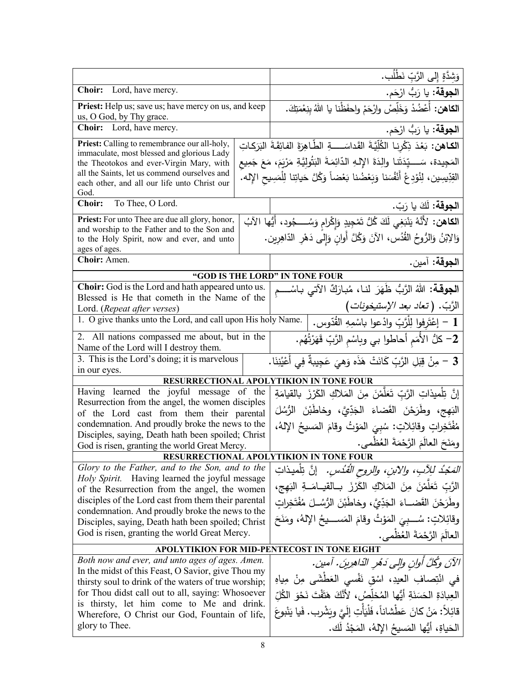|                                                                                                                                                                                                                                                                                                                                                                     | وَشِدَّةٍ إِلى الرَّبِّ نَطْلُب.                                                                                                                                                                                                                                                                                                      |  |
|---------------------------------------------------------------------------------------------------------------------------------------------------------------------------------------------------------------------------------------------------------------------------------------------------------------------------------------------------------------------|---------------------------------------------------------------------------------------------------------------------------------------------------------------------------------------------------------------------------------------------------------------------------------------------------------------------------------------|--|
| Choir: Lord, have mercy.                                                                                                                                                                                                                                                                                                                                            | ا <b>لجوقة:</b> يا رَبُّ ارْحَم.                                                                                                                                                                                                                                                                                                      |  |
| <b>Priest:</b> Help us; save us; have mercy on us, and keep<br>us, O God, by Thy grace.                                                                                                                                                                                                                                                                             | ا <b>لكاهن:</b> أَعْضُدْ وَخَلِّصْ وارْحَمْ واحفَظْنا يا اللهُ بنِعْمَتِكَ.                                                                                                                                                                                                                                                           |  |
| Choir: Lord, have mercy.                                                                                                                                                                                                                                                                                                                                            | ا <b>لجوقة:</b> يا رَبُّ ارْحَم.                                                                                                                                                                                                                                                                                                      |  |
| Priest: Calling to remembrance our all-holy,<br>immaculate, most blessed and glorious Lady<br>the Theotokos and ever-Virgin Mary, with<br>all the Saints, let us commend ourselves and<br>each other, and all our life unto Christ our<br>God.                                                                                                                      | ا <b>لكـاهن:</b> بَعْدَ ذِكْرِنـا الكُلِّيَّةَ القَداسَــــةِ الطَّاهِرَةَ الفائِقَةَ البَرَكاتِ<br>المَجِيدة، سَــــيِّدَتَنا والِدَةَ الإِلهِ الدّائِمَةَ البَتُولِيَّةِ مَرْيَمَ، مَعَ جَمِيع<br>القِدِّيسِين، لِنُوْدِعْ أَنْفُسَنا وَبَعْضُنا بَعْضاً وَكُلَّ حَياتِنا لِلْمَسِيحِ الإِله.                                       |  |
| To Thee, O Lord.<br><b>Choir:</b>                                                                                                                                                                                                                                                                                                                                   | ا <b>لجوقة:</b> لَكَ يا رَبّ.                                                                                                                                                                                                                                                                                                         |  |
| <b>Priest:</b> For unto Thee are due all glory, honor,<br>and worship to the Father and to the Son and<br>to the Holy Spirit, now and ever, and unto<br>ages of ages.<br>Choir: Amen.                                                                                                                                                                               | ا <b>لكاهن:</b> لأَنَّهُ يَنْبَغِي لَكَ كُلُّ تَمْجِيدٍ وَإِكْرامٍ وَسُــــجُود، أَيُّها الآبُ<br>وَالِإِبْنُ وَالرُّوحُ القُدُس، الآنَ وَكُلَّ أَوانٍ وَإِلَى دَهْرِ الدّاهِرِين.<br>الجوقة: آمين.                                                                                                                                   |  |
| "GOD IS THE LORD" IN TONE FOUR                                                                                                                                                                                                                                                                                                                                      |                                                                                                                                                                                                                                                                                                                                       |  |
| Choir: God is the Lord and hath appeared unto us.<br>Blessed is He that cometh in the Name of the<br>Lord. (Repeat after verses)<br>1. O give thanks unto the Lord, and call upon His holy Name.                                                                                                                                                                    | ا <b>لجوقــة:</b> اللهُ الرَّبُّ ظَهَرَ لنــا، مُبـارَكٌ الآتـي بـاسْــــم<br>الرَّبِّ. (تع <i>اد بعد الإستيخونات)</i>                                                                                                                                                                                                                |  |
|                                                                                                                                                                                                                                                                                                                                                                     | 1 – إعْتَرِفوا لِلْرَّبِّ وادْعوا باسْمِهِ القُدّوس.                                                                                                                                                                                                                                                                                  |  |
| 2. All nations compassed me about, but in the<br>Name of the Lord will I destroy them.<br>3. This is the Lord's doing; it is marvelous                                                                                                                                                                                                                              | 2– كلُّ الأُمَم أَحاطُوا بي وبِاسْمِ الرَّبِّ قَهَرْتُهُم.                                                                                                                                                                                                                                                                            |  |
| in our eyes.                                                                                                                                                                                                                                                                                                                                                        | .<br>3 – مِنْ قِبَلِ الرَّبِّ كَانَتْ هَذَه وَهيَ عَجِيبةٌ فِي أَعْيُنِنَا .                                                                                                                                                                                                                                                          |  |
| RESURRECTIONAL APOLYTIKION IN TONE FOUR                                                                                                                                                                                                                                                                                                                             |                                                                                                                                                                                                                                                                                                                                       |  |
| Having learned the joyful message of the<br>Resurrection from the angel, the women disciples<br>of the Lord cast from them their parental<br>condemnation. And proudly broke the news to the<br>Disciples, saying, Death hath been spoiled; Christ                                                                                                                  | إِنَّ تِلْميذاتِ الرَّبِّ تَعَلَّمْنَ مِنَ المَلاكِ الكَرْزَ بالقيامَةِ<br>البَهج، وطَرَحْنَ القَضاءَ الْجَدِّيَّ، وخاطَبْنَ الرُّسُلَ<br>مُفْتَخِراتٍ وقائِلاتٍ: سُبِيَ المَوْتُ وقامَ المَسيحُ الإِلهُ،<br>ومَنَحَ العالَمَ الرَّحْمَةَ العُظْمي.                                                                                   |  |
| God is risen, granting the world Great Mercy.<br><b>RESURRECTIONAL APOLYTIKION IN TONE FOUR</b>                                                                                                                                                                                                                                                                     |                                                                                                                                                                                                                                                                                                                                       |  |
| Glory to the Father, and to the Son, and to the<br>Holy Spirit. Having learned the joyful message<br>of the Resurrection from the angel, the women<br>disciples of the Lord cast from them their parental<br>condemnation. And proudly broke the news to the<br>Disciples, saying, Death hath been spoiled; Christ<br>God is risen, granting the world Great Mercy. | <i>التَّجُدُ لِلِآبِ، والآبنِ، والروح القُدُسِ.</i> إنَّ تِلْميذاتِ<br>الرَّبِّ تَعَلَّمْنَ مِنَ الْمَلاكِ الْكَرْزَ بِـالْقِيـامَــةِ الْبَهِجِ،<br>وطَرَحْنَ القَضــاءَ الـجَدِّيَّ، وخاطَبْنَ الرُّسُــلَ مُفْتَخِراتِ<br>وقائِلاتٍ: سُـــبِيَ المَوْتُ وقامَ المَســــيحُ الإِلهُ، ومَنَحَ<br>العالَمَ الرَّحْمَةَ العُظْمي.      |  |
| APOLYTIKION FOR MID-PENTECOST IN TONE EIGHT                                                                                                                                                                                                                                                                                                                         |                                                                                                                                                                                                                                                                                                                                       |  |
| Both now and ever, and unto ages of ages. Amen.<br>In the midst of this Feast, O Savior, give Thou my<br>thirsty soul to drink of the waters of true worship;<br>for Thou didst call out to all, saying: Whosoever<br>is thirsty, let him come to Me and drink.<br>Wherefore, O Christ our God, Fountain of life,<br>glory to Thee.                                 | الآنَ وكُلَّ أُوانِ وإِلَى دَهْرِ الدَّاهِرِينَ. أمين.<br>في انْتِصافِ العيدِ، اسْقِ نَفْسى الْعَطْشَى مِنْ مِياهِ<br>العِبادَةِ الحَسَنَةِ أَيُّها المُخلِّصُ، لأَنَّكَ هَتَفْتَ نَحْوَ الكُلّ<br>قائِلاً: مَنْ كانَ عَطْشاناً، فَلْيَأْتِ إِلَيَّ وِيَشْرِب. فَيا يَنْبوعَ<br>الْحَياةِ، أَيُّها الْمَسِيحُ الإِلهُ، الْمَجْدُ لَك. |  |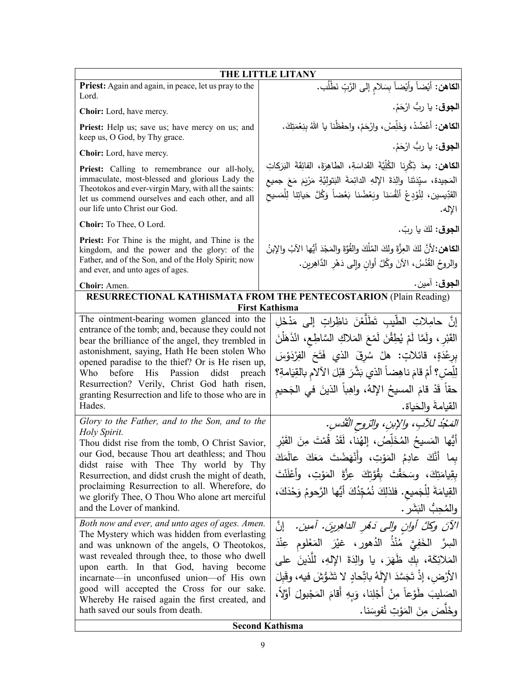| THE LITTLE LITANY                                                                                                                                                                                                                                                                                                                                                                                                                                      |                                                                                                                                                                                                                                                                                                                                                                                                             |  |  |
|--------------------------------------------------------------------------------------------------------------------------------------------------------------------------------------------------------------------------------------------------------------------------------------------------------------------------------------------------------------------------------------------------------------------------------------------------------|-------------------------------------------------------------------------------------------------------------------------------------------------------------------------------------------------------------------------------------------------------------------------------------------------------------------------------------------------------------------------------------------------------------|--|--|
| <b>Priest:</b> Again and again, in peace, let us pray to the<br>Lord.                                                                                                                                                                                                                                                                                                                                                                                  | ا <b>لكاهن:</b> أيْضاً وأيْضاً بِسَلام إلى الرَّبِّ نَطْلُب.                                                                                                                                                                                                                                                                                                                                                |  |  |
| Choir: Lord, have mercy.                                                                                                                                                                                                                                                                                                                                                                                                                               | ا <b>لجوق</b> : يا ربُ ارْحَمْ.                                                                                                                                                                                                                                                                                                                                                                             |  |  |
| Priest: Help us; save us; have mercy on us; and<br>keep us, O God, by Thy grace.                                                                                                                                                                                                                                                                                                                                                                       | اللكاهن: أَعْضُدْ، وَخَلِّصْ، وارْحَمْ، واحفَظْنا يا اللهُ بِنِعْمَتِكَ.                                                                                                                                                                                                                                                                                                                                    |  |  |
| Choir: Lord, have mercy.                                                                                                                                                                                                                                                                                                                                                                                                                               | ا <b>لجوق</b> : يا ربُ ارْحَمْ.                                                                                                                                                                                                                                                                                                                                                                             |  |  |
| Priest: Calling to remembrance our all-holy,<br>immaculate, most-blessed and glorious Lady the<br>Theotokos and ever-virgin Mary, with all the saints:<br>let us commend ourselves and each other, and all<br>our life unto Christ our God.                                                                                                                                                                                                            | الكاهن: بعدَ ذِكْرِنا الطُّلِّيَّةَ القَداسَةِ، الطاهِرَةَ، الفائِقَةَ البَرَكاتِ<br>المَجيدة، سيِّدَتَنا والِدَةَ الإِلهِ الدائِمَةَ البَتولِيَّةِ مَرْيَمَ مَعَ جميع<br>القدِّيسين، لِنُؤدِعْ أَنْفُسَنا وبَعْضُنا بَعْضاً وَكُلَّ حَياتِنا لِلْمَسيحِ<br>الإله.                                                                                                                                          |  |  |
| Choir: To Thee, O Lord.                                                                                                                                                                                                                                                                                                                                                                                                                                | ا <b>لجوق</b> : لكَ يا ربّ.                                                                                                                                                                                                                                                                                                                                                                                 |  |  |
| Priest: For Thine is the might, and Thine is the<br>kingdom, and the power and the glory: of the<br>Father, and of the Son, and of the Holy Spirit; now<br>and ever, and unto ages of ages.                                                                                                                                                                                                                                                            | ا <b>لكاهن:</b> 'لأنَّ لكَ العِزَّةَ ولكَ المُلْكَ والقُوَّةَ والمَجْدَ أيُّها الآبُ والإبنُ<br>والروحُ القُدُسُ، الآنَ وكُلَّ أوانِ وإلى دَهْرِ الدَّاهِرين.                                                                                                                                                                                                                                               |  |  |
| Choir: Amen.                                                                                                                                                                                                                                                                                                                                                                                                                                           | ا <b>لجوق</b> : آمين.                                                                                                                                                                                                                                                                                                                                                                                       |  |  |
|                                                                                                                                                                                                                                                                                                                                                                                                                                                        | <b>RESURRECTIONAL KATHISMATA FROM THE PENTECOSTARION (Plain Reading)</b><br><b>First Kathisma</b>                                                                                                                                                                                                                                                                                                           |  |  |
| The ointment-bearing women glanced into the<br>entrance of the tomb; and, because they could not<br>bear the brilliance of the angel, they trembled in<br>astonishment, saying, Hath He been stolen Who<br>opened paradise to the thief? Or is He risen up,<br>before His<br>Passion<br>Who<br>didst<br>preach<br>Resurrection? Verily, Christ God hath risen,<br>granting Resurrection and life to those who are in<br>Hades.                         | إنَّ حامِلاتِ الطَّيبِ تَطَلَّعْنَ ناظِراتِ إلى مَدْخَلِ<br>القَبْرِ ، ولَمَّا لَمْ يُطِقْنَ لَمْعَ المَلاكِ السَّاطِع، انْذَهَلْنَ<br>بِرِعْدَةٍ، قائلاتٍ: هلْ سُرِقَ الذي فَتَحَ الفِرْدَوْسَ<br>لِلِّصِّ؟ أَمْ قَامَ ناهِضاً الذي بَشَّرَ قَبْلَ الآلامِ بالقِيَامةِ؟<br>حقاً قَدْ قامَ المسيحُ الإِلهُ، واهِباً الذينَ في الجَحيم<br>القيامةَ والحَياة.                                                 |  |  |
| Glory to the Father, and to the Son, and to the<br>Holy Spirit.<br>Thou didst rise from the tomb, O Christ Savior,<br>our God, because Thou art deathless; and Thou<br>didst raise with Thee Thy world by Thy<br>Resurrection, and didst crush the might of death,<br>proclaiming Resurrection to all. Wherefore, do<br>we glorify Thee, O Thou Who alone art merciful<br>and the Lover of mankind.<br>Both now and ever, and unto ages of ages. Amen. | المَحْدُ للآبِ، والإبنِ، والرّوح القُدُسِ.<br>أَيُّها المَسيحُ المُخَلِّصُ، إلهُنا، لَقَدْ قُمْتَ مِنَ القَبْرِ<br>بما أَنَّكَ عادِمُ المَوْتِ، وأَنْهَضْتَ مَعَكَ عالَمَكَ<br>بقِيامَتِكَ، وسَحَقْتَ بقُوَّتِكَ عِزَّةَ المَوْتِ، وأَعْلَنْتَ<br>القِيامَةَ لِلْجَميعِ. فلذلِكَ نُمُجِّدُكَ أَيُّها الرَّحومُ وَحْدَكَ،<br>والمُحِبُّ البَشَرِ .<br>الآنَ وكلَّ أُولنِ والى دَهْرِ الداهِرِينَ. آمين. [نَّ |  |  |
| The Mystery which was hidden from everlasting<br>and was unknown of the angels, O Theotokos,<br>wast revealed through thee, to those who dwell<br>upon earth. In that God, having become<br>incarnate—in unconfused union—of His own<br>good will accepted the Cross for our sake.<br>Whereby He raised again the first created, and<br>hath saved our souls from death.                                                                               | السِرَّ الْخَفِيَّ مُنْذُ الدُهورِ ، غيْرَ المَعْلوم عِنْدَ<br>المَلائِكَة، بكِ ظَهَرَ، يا والِدَةَ الإِلهِ، للَّذينَ على<br>الأَرْض، إذْ تَجَسَّدَ الإِلَهُ باتِّحادٍ لا تَشَوُّشَ فيه، وقَبِلَ<br>الصَليبَ طَوْعاً مِنْ أَجْلِنا، وَبِهِ أَقامَ المَجْبولَ أَوَّلاً،<br>وخَلَصَ مِنَ المَوْتِ نُفوسَنا.<br><b>Second Kathisma</b>                                                                         |  |  |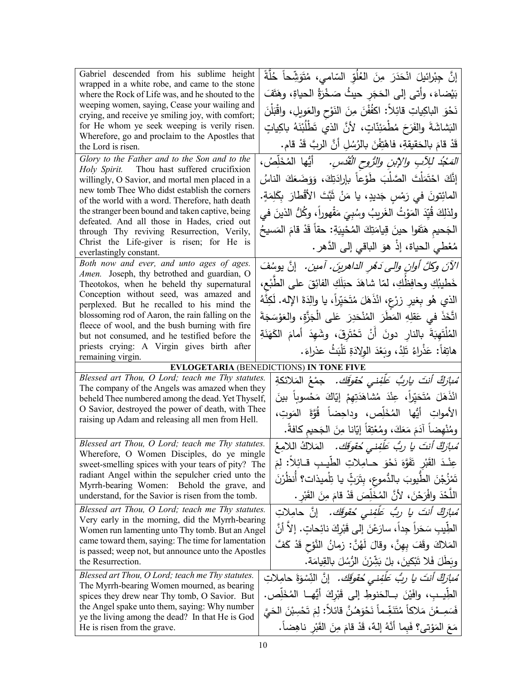| Gabriel descended from his sublime height                                                                 | إِنَّ جِبْرِائيلَ انْحَدَرَ مِنَ الْعُلُوِّ السّامي، مُتَوَشِّحاً حُلَّةً       |  |
|-----------------------------------------------------------------------------------------------------------|---------------------------------------------------------------------------------|--|
| wrapped in a white robe, and came to the stone                                                            |                                                                                 |  |
| where the Rock of Life was, and he shouted to the                                                         | بَيْضاءَ، وأتى إلى الحَجَر حيثُ صَخْرَةُ الحياةِ، وهَتَفَ                       |  |
| weeping women, saying, Cease your wailing and<br>crying, and receive ye smiling joy, with comfort;        | نَحْوَ الباكِياتِ قائِلاً: اكفُفْنَ مِنَ النَوْحِ والعَويلِ، واقْبَلْنَ         |  |
| for He whom ye seek weeping is verily risen.                                                              | الْبَشَاشَةَ والفَرَحَ مُطْمَئِنَّاتٍ، لأَنَّ الذي تَطْلُبْنَهُ باكِياتٍ        |  |
| Wherefore, go and proclaim to the Apostles that                                                           |                                                                                 |  |
| the Lord is risen.                                                                                        | قَدْ قامَ بالحَقيقةِ، فاهْتِفْنَ بالرُسُلِ أنَّ الربَّ قَدْ قام.                |  |
| Glory to the Father and to the Son and to the                                                             | <i>المَجْدُ لِلِآبِ والإبنِ والرُّوحِ الْقُدْسِ.</i> أَيُّها المُخَلِّصُ،       |  |
| Holy Spirit. Thou hast suffered crucifixion                                                               |                                                                                 |  |
| willingly, O Savior, and mortal men placed in a<br>new tomb Thee Who didst establish the corners          | إِنَّكَ احْتَمَلْتَ الصَّلْبَ طَوْعاً بإرادَتِكَ، وَوَضَعَكَ الناسُ             |  |
| of the world with a word. Therefore, hath death                                                           | المائِتونَ في رَمْسِ جَديدٍ، يا مَنْ ثَبَّتَ الأَقْطارَ بِكَلِمَةٍ.             |  |
| the stranger been bound and taken captive, being                                                          | ولذلِكَ قُيِّدَ المَوْتُ الغَريبُ وسُبِيَ مَقْهوراً، وكُلُّ الذينَ في           |  |
| defeated. And all those in Hades, cried out                                                               |                                                                                 |  |
| through Thy reviving Resurrection, Verily,                                                                | الْجَحيم هَتَفوا حينَ قِيامَتِكَ الْمُحْيِيَةِ: حقاً قَدْ قامَ الْمَسيحُ        |  |
| Christ the Life-giver is risen; for He is<br>everlastingly constant.                                      | مُعْطى الحياة، إذْ هوَ النباقي إلى الدَّهرِ .                                   |  |
| Both now and ever, and unto ages of ages.                                                                 | الآنَ وكلَّ أوانِ والى دَمُرِ الداهرينَ. آمين. [نَّ يوسُفَ                      |  |
| Amen. Joseph, thy betrothed and guardian, O                                                               |                                                                                 |  |
| Theotokos, when he beheld thy supernatural                                                                | خَطيبُكِ وحافِظُكِ، لمّا شاهَدَ حبَلَكِ الفائِقَ على الطَّبْع،                  |  |
| Conception without seed, was amazed and                                                                   | الذي هُو بِغيرِ زِرْعٍ، انْذَهَلَ مُتَحَيِّراً، يا والِدَةَ الإِله. لَكِنَّهُ   |  |
| perplexed. But he recalled to his mind the<br>blossoming rod of Aaron, the rain falling on the            |                                                                                 |  |
| fleece of wool, and the bush burning with fire                                                            | اتَّخَذَ في عَقلِهِ المَطَرَ  المُنْحَدِرَ  عَلى الْجَزَّةِ، والعَوْسَجَةَ      |  |
| but not consumed, and he testified before the                                                             | الْمُلْتَهِبَةَ بِالنارِ دونَ أَنْ تَحْتَرِقَ، وشَهِدَ أَمامَ الْكَهَنَةِ       |  |
| priests crying: A Virgin gives birth after                                                                |                                                                                 |  |
|                                                                                                           |                                                                                 |  |
| remaining virgin.                                                                                         | هاتِفاً: عَذْرِاءُ تَلِدُ، وبَعْدَ الولادَةِ تَلْبَثُ عذراءَ.                   |  |
|                                                                                                           | <b>EVLOGETARIA (BENEDICTIONS) IN TONE FIVE</b>                                  |  |
| Blessed art Thou, O Lord; teach me Thy statutes.                                                          | ُ <i>مْبارَكٌ أَنتَ ياربُ عَلَّفِني حُقوقَك.</i> جمْعُ المَلائكةِ               |  |
| The company of the Angels was amazed when they                                                            |                                                                                 |  |
| beheld Thee numbered among the dead. Yet Thyself,<br>O Savior, destroyed the power of death, with Thee    | انْذَهَلَ مُتَحَيِّراً، عِنْدَ مُشَاهَدَتِهِمْ إِيَّاكَ مَحْسوباً بينَ          |  |
| raising up Adam and releasing all men from Hell.                                                          | الأمواتِ أَيُّها المُخَلِّص، وداحِضاً قُوَّةَ المَوتِ،                          |  |
|                                                                                                           | ومُنْهضاً آدَمَ مَعَكَ، ومُعْتِقاً إيّانا مِنَ الجَحيم كافةً.                   |  |
| Blessed art Thou, O Lord; teach me Thy statutes.                                                          | مُ <i>بازِكٌ أنتَ يا ربُّ عَلَّفِنى حُقوقِك.</i> المَلاكُ اللامِعُ              |  |
| Wherefore, O Women Disciples, do ye mingle                                                                |                                                                                 |  |
| sweet-smelling spices with your tears of pity? The                                                        | عِنْدَ الْقَبْرِ تَفَوَّهَ نَحْوَ حـامِلاتِ الطَّيـبِ قـائِلاً: لِمَ            |  |
| radiant Angel within the sepulcher cried unto the<br>Myrrh-bearing Women: Behold the grave, and           | تَمْزُجْنَ الطَّيوبَ بـالدُّموعِ، بتَرَثِّ يـا تِلْميذات؟ أنظَرْنَ              |  |
| understand, for the Savior is risen from the tomb.                                                        | اللَّحْدَ وافْرَحْنَ، لأَنَّ المُخَلِّصَ قَدْ قامَ مِنَ القَبْرِ .              |  |
| Blessed art Thou, O Lord; teach me Thy statutes.                                                          | مُ <i>بازِكٌ أنتَ يا ربُّ عَلَّفِني خُقوقَك.</i> إنَّ حامِلاتِ                  |  |
| Very early in the morning, did the Myrrh-bearing                                                          |                                                                                 |  |
| Women run lamenting unto Thy tomb. But an Angel                                                           | الطِّيبِ سَحَراً جِداً، سارَعْنَ إلى قَبْرِكَ نائِحاتٍ. إلا أنَّ                |  |
| came toward them, saying: The time for lamentation<br>is passed; weep not, but announce unto the Apostles | المَلاكَ وقَفَ بِهِنَّ، وقالَ لَهُنَّ: زمانُ النَّوْحِ قَدْ كَفَّ               |  |
| the Resurrection.                                                                                         | وبَطَلَ فَلا تَبْكينَ، بِلْ بَشِّرْنَ الرُّسُلَ بِالقِيامَةِ.                   |  |
| Blessed art Thou, O Lord; teach me Thy statutes.                                                          |                                                                                 |  |
| The Myrrh-bearing Women mourned, as bearing                                                               | ُ <i>مبارَكٌ أنتَ يا ربُ عَلَّفِني حُقوقَك.</i> إنَّ النِّسْوَةَ حامِلاتِ       |  |
| spices they drew near Thy tomb, O Savior. But                                                             | الطِّيــبِ، وافَيْنَ بــالحَنوطِ إلى قَبْرِكَ أَيُّهــا المُخَلِّص.             |  |
| the Angel spake unto them, saying: Why number<br>ye the living among the dead? In that He is God          | فَسَمِـعْنَ مَلاكاً مُتَنَغِّـماً نَحْوَهُـنَّ قائلاً: لِمَ تَحْسِبْنَ الْحَيَّ |  |
| He is risen from the grave.                                                                               | مَعَ المَوْتي؟ فَبِما أَنَّهُ إِلهٌ، قَدْ قامَ مِنَ القَبْرِ ناهِضاً.           |  |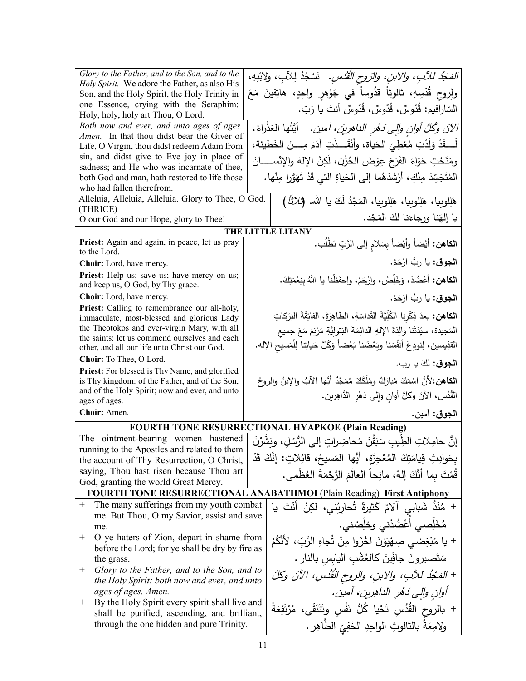| Glory to the Father, and to the Son, and to the                                                        | <i>المَجْدُ للآبِ، والابنِ، والرّوح القُدُسِ.</i> نَسْجُدُ لِلآبِ، ولابْنِهِ،            |
|--------------------------------------------------------------------------------------------------------|------------------------------------------------------------------------------------------|
| Holy Spirit. We adore the Father, as also His                                                          |                                                                                          |
| Son, and the Holy Spirit, the Holy Trinity in                                                          | ولروح قُدْسِهِ، ثالوثاً قدُّوساً في جَوْهرِ واحِدٍ، هاتِفينَ مَعَ                        |
| one Essence, crying with the Seraphim:<br>Holy, holy, holy art Thou, O Lord.                           | السّارافيم: قُدّوسٌ، قُدّوسٌ، قُدّوسٌ أنتَ يا رَبّ.                                      |
| Both now and ever, and unto ages of ages.                                                              | الآنَ وكُلَّ أوان وإلى دَهْرِ الداهِرِينَ، أمين.    أيَّتُها العَذْراءُ،                 |
| Amen. In that thou didst bear the Giver of                                                             |                                                                                          |
| Life, O Virgin, thou didst redeem Adam from                                                            | لَـــقَدْ وَلَدْتِ مُعْطِيَ الْحَياة، وأَنْقَـــذْتِ آدَمَ مِــــنَ الخَطيئة،            |
| sin, and didst give to Eve joy in place of                                                             |                                                                                          |
| sadness; and He who was incarnate of thee,                                                             | ومَذَحْتِ حَوّاءَ الفَرَحَ عِوَضَ الحُزْنِ، لَكِنَّ الإِلهَ والإِنْســـــانَ             |
| both God and man, hath restored to life those                                                          | الْمُتَجَسِّدَ مِنْكِ، أَرْشَدَهُما إِلَى الْحَياةِ الَّتِي قَدْ تَهَوَّرِا مِنْها.      |
| who had fallen therefrom.                                                                              |                                                                                          |
| Alleluia, Alleluia, Alleluia. Glory to Thee, O God.                                                    | هَلِلوبِيا، هَلِلوبِيا، هَلِلوبِيا، المَجْدُ لَكَ يا الله. (ثلاثاً)                      |
| (THRICE)                                                                                               |                                                                                          |
| O our God and our Hope, glory to Thee!                                                                 | يا إلهَنا ورجاءَنا لكَ المَجْد.                                                          |
|                                                                                                        | THE LITTLE LITANY                                                                        |
| Priest: Again and again, in peace, let us pray<br>to the Lord.                                         | ا <b>لكاهن:</b> أيْضاً وأيْضاً بِسَلامِ إلى الرَّبِّ نَطْلُب.                            |
| Choir: Lord, have mercy.                                                                               | ا <b>لجوق</b> : يا ربُّ ارْحَمْ.                                                         |
| Priest: Help us; save us; have mercy on us;                                                            |                                                                                          |
| and keep us, O God, by Thy grace.                                                                      | ا <b>لكاهن:</b> أَعْضُدْ، وَخَلِّصْ، وارْحَمْ، واحفَظْنا يا اللهُ بنِعْمَتِكَ.           |
| Choir: Lord, have mercy.                                                                               | ا <b>لجوق</b> : يا ربُّ ارْحَمْ.                                                         |
| Priest: Calling to remembrance our all-holy,                                                           | الكاهن: بعدَ ذِكْرِنا الكُلِّيَّةَ القَداسَةِ، الطاهِرَةَ، الفائِقَةَ البَرَكاتِ         |
| immaculate, most-blessed and glorious Lady<br>the Theotokos and ever-virgin Mary, with all             |                                                                                          |
| the saints: let us commend ourselves and each                                                          | المَجيدة، سيِّدَتَنا والِدَةَ الإِلهِ الدائِمَةَ البَتولِيَّةِ مَرْيَمَ مَعَ جميع        |
| other, and all our life unto Christ our God.                                                           | القدِّيسين، لِنودِعْ أنفُسَنا وبَعْضُنا بَعْضاً وَكُلَّ حَياتِنا لِلْمَسيحِ الإله.       |
| Choir: To Thee, O Lord.                                                                                | ا <b>لجوق</b> : لكَ يا رب.                                                               |
| Priest: For blessed is Thy Name, and glorified                                                         |                                                                                          |
| is Thy kingdom: of the Father, and of the Son,                                                         | ا <b>لكاهن:</b> لأنَّ اسْمَكَ مُبارَكٌ ومُلْكَكَ مُمَجَّدٌ أَيُّها الآبُ والإبنُ والروحُ |
| and of the Holy Spirit; now and ever, and unto                                                         | القُدُس، الآنَ وكلَّ أوانِ وإلى دَهْرِ الدَّاهِرِينِ.                                    |
| ages of ages.                                                                                          |                                                                                          |
| Choir: Amen.                                                                                           | ا <b>لجوق</b> : آمين.                                                                    |
|                                                                                                        | <b>FOURTH TONE RESURRECTIONAL HYAPKOE (Plain Reading)</b>                                |
| The ointment-bearing women hastened                                                                    | إِنَّ حامِلاتِ الطِّيبِ سَبَقْنَ مُحاضِراتٍ إِلَى الرُّسُلِ، وبَشَّرْنَ                  |
| running to the Apostles and related to them                                                            | بحَوادِثِ قِيامَتِكَ المُعْجِزَةِ، أَيُّها المَسيحُ، قائِلاتٍ: إنَّكَ قَدْ               |
| the account of Thy Resurrection, O Christ,                                                             |                                                                                          |
| saying, Thou hast risen because Thou art                                                               | قُمْتَ بِما أَنَّكَ إِلهٌ، مانِحاً العالَمَ الرَّحْمَةَ العُظْمي.                        |
| God, granting the world Great Mercy.                                                                   |                                                                                          |
|                                                                                                        | <b>FOURTH TONE RESURRECTIONAL ANABATHMOI (Plain Reading) First Antiphony</b>             |
| The many sufferings from my youth combat<br>$^{+}$<br>me. But Thou, O my Savior, assist and save       | + مُنْذُ شَبابِي آلامٌ كَثيرةٌ تُحارِبُني، لكِنْ أَنْتَ يا                               |
| me.                                                                                                    | مُخَلِّصي أَعْضُدْني وخلِّصْني.                                                          |
| O ye haters of Zion, depart in shame from<br>$^+$                                                      | + يا مُبْغِضىي صِهْيَوْنَ اخْزَوا مِنْ تُجاهِ الرَّبِّ، لأَنَّكُمْ                       |
| before the Lord; for ye shall be dry by fire as                                                        |                                                                                          |
| the grass.                                                                                             | سَتَصبيرونَ جافِّينَ كالعُشْبِ اليابس بالنارِ .                                          |
| Glory to the Father, and to the Son, and to<br>$^+$<br>the Holy Spirit: both now and ever, and unto    | + المَجْدُ للآبِ، والابنِ، والروح القُدْسِ، الآنَ وكلَّ                                  |
| ages of ages. Amen.                                                                                    | آوانِ والِي دَهْرِ الداهرِينِ، آمينِ.                                                    |
| By the Holy Spirit every spirit shall live and<br>$^+$<br>shall be purified, ascending, and brilliant, | + بالروح القُدُس تَحْيا كُلُّ نَفْسٍ وتَتَنَقّى، مُرْتَفِعَةً                            |
| through the one hidden and pure Trinity.                                                               | ولامِعَةً بالثالوثِ الواحِدِ الْخَفِيِّ الطَّاهِرِ .                                     |
|                                                                                                        |                                                                                          |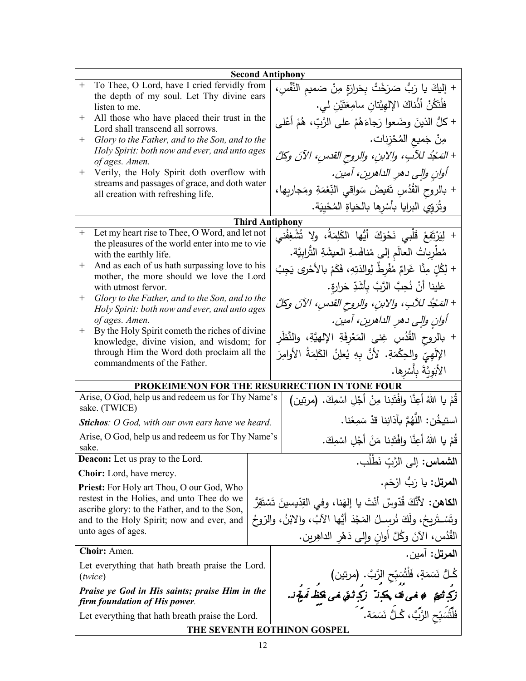| <b>Second Antiphony</b>                                                                                    |  |                                                                                                                                |  |
|------------------------------------------------------------------------------------------------------------|--|--------------------------------------------------------------------------------------------------------------------------------|--|
| To Thee, O Lord, have I cried fervidly from<br>$\! +$                                                      |  | + إِلَيْكَ ياً رَبُّ صَرَخْتُ بِحَرارَةٍ مِنْ صَميمِ النَّفْسِ،                                                                |  |
| the depth of my soul. Let Thy divine ears<br>listen to me.                                                 |  | فلْتَكُنْ أَذُناكَ الإِلْهِيَّتانِ سامِعَتَيْنِ لي.                                                                            |  |
| All those who have placed their trust in the<br>$^+$                                                       |  | + كلُّ الذينَ وضَعوا رَجاءَهُمْ على الرَّبِّ، هُمْ أَعْلـى                                                                     |  |
| Lord shall transcend all sorrows.                                                                          |  |                                                                                                                                |  |
| Glory to the Father, and to the Son, and to the<br>$^{+}$<br>Holy Spirit: both now and ever, and unto ages |  | مِنْ جَميعِ المُحْزِناتِ.                                                                                                      |  |
| of ages. Amen.                                                                                             |  | + المَحْدُ للآبِ، والابنِ، والروح القدسِ، الآنَ وكلَّ                                                                          |  |
| Verily, the Holy Spirit doth overflow with<br>$^{+}$                                                       |  | أوانِ والِي دهرِ الداهرينِ، آمينِ.                                                                                             |  |
| streams and passages of grace, and doth water<br>all creation with refreshing life.                        |  | + بالروح القُدُسِ تَفيضُ سَواقى النِّعْمَةِ ومَجارِيها،                                                                        |  |
|                                                                                                            |  | وثُرَوِّي البرايا بأسْرِها بالحَياةِ المُحْيِيَة.                                                                              |  |
|                                                                                                            |  | <b>Third Antiphony</b>                                                                                                         |  |
| Let my heart rise to Thee, O Word, and let not<br>$^{+}$                                                   |  | + لِيَرْتَفِعْ قَلْبِي نَحْوَكَ أَيُّها الكَلِمَةُ، ولا تُشْغِفُني                                                             |  |
| the pleasures of the world enter into me to vie<br>with the earthly life.                                  |  | مُطْرِباتُ العالَمِ إلى مُنافَسةِ العيشَةِ التُّرابِيَّة.                                                                      |  |
| And as each of us hath surpassing love to his<br>$^{+}$                                                    |  | + لِكُلِّ مِنَّا غَرامٌ مُفْرِطٌ لِوالدَتِهِ، فَكَمْ بِالأَحْرِي يَجِبُ                                                        |  |
| mother, the more should we love the Lord                                                                   |  |                                                                                                                                |  |
| with utmost fervor.<br>Glory to the Father, and to the Son, and to the<br>$^{+}$                           |  | عَلينا أَنْ نُحِبَّ الرَّبَّ بِأَشَدِّ حَرارةٍ.                                                                                |  |
| Holy Spirit: both now and ever, and unto ages                                                              |  | + المَحْدُ للآبِ، والابنِ، والروح القدسِ، الآنَ وكلَّ                                                                          |  |
| of ages. Amen.                                                                                             |  | أوانِ والِي دهرِ الداهرينِ، آمينِ.                                                                                             |  |
| By the Holy Spirit cometh the riches of divine<br>$^{+}$                                                   |  | + بالروح القُدُسِ غِنى المَعْرِفَةِ الإِلهيَّةِ، والنَّظُرِ                                                                    |  |
| knowledge, divine vision, and wisdom; for                                                                  |  |                                                                                                                                |  |
| through Him the Word doth proclaim all the<br>commandments of the Father.                                  |  | الإِلَهِيِّ والحِكْمَةِ. لأنَّ بِهِ يُعلِنُ الكَلِمَةُ الأوامِرَ                                                               |  |
|                                                                                                            |  | الأَبَوِيَّةَ بِأَسْرِها.                                                                                                      |  |
| PROKEIMENON FOR THE RESURRECTION IN TONE FOUR                                                              |  |                                                                                                                                |  |
| Arise, O God, help us and redeem us for Thy Name's<br>sake. (TWICE)                                        |  | قُمْ يا اللَّهُ أُعِنَّا وافْتَدِنا مِنْ أَجْلِ اسْمِكَ. (مرتين)                                                               |  |
| <b>Stichos:</b> O God, with our own ears have we heard.                                                    |  | استيخُن: اللَّهُمَّ بآذانِنا قدْ سَمِعْنا.                                                                                     |  |
| Arise, O God, help us and redeem us for Thy Name's<br>sake.                                                |  | قُمْ يا اللهُ أَعِنَّا وافْتَدِنا مَنْ أَجْلِ اسْمِكَ.                                                                         |  |
| <b>Deacon:</b> Let us pray to the Lord.                                                                    |  | ا <b>لشماس:</b> إلى الرَّبِّ نَطْلُب.                                                                                          |  |
| <b>Choir:</b> Lord, have mercy.                                                                            |  |                                                                                                                                |  |
| Priest: For Holy art Thou, O our God, Who                                                                  |  | ِ ا <b>لمرتل:</b> يا رَبُّ ارْحَم.                                                                                             |  |
| restest in the Holies, and unto Thee do we<br>ascribe glory: to the Father, and to the Son,                |  | ا <b>لكاهن:</b> لأنَّكَ قُدّوسٌ أنْتَ يا إلهَنا، وفي القِدّيسينَ تَسْتَقِرُّ                                                   |  |
| and to the Holy Spirit; now and ever, and                                                                  |  | وتَسْــتَربـحُ، ولَكَ نُرســلُ المَجْدَ أَيُّها الآبُ، والابْنُ، والرّوحُ                                                      |  |
| unto ages of ages.                                                                                         |  | الْقُدُس، الأَنَ وكُلَّ أُوانِ وإِلَى دَهْرِ الداهِرين.                                                                        |  |
| Choir: Amen.                                                                                               |  | ا <b>لمرتل:</b> آمين.                                                                                                          |  |
| Let everything that hath breath praise the Lord.                                                           |  |                                                                                                                                |  |
| (twice)                                                                                                    |  |                                                                                                                                |  |
| Praise ye God in His saints; praise Him in the<br>firm foundation of His power.                            |  | كُلُّ نَسَمَةٍ، فَلْتُسَبِّحِ الزَّبَّ. (مرتين)<br>نكشتم ، في فق بكب <sup>ِّر</sup> زكب <i>ُ ثني خيطُ فَم<sup>ِهَ</sup>دَ.</i> |  |
| Let everything that hath breath praise the Lord.                                                           |  | فَلْتُسَبِّحِ الزَّبَّ، كُـلُّ نَسَمَة. ۖ ٰ                                                                                    |  |
| THE SEVENTH EOTHINON GOSPEL                                                                                |  |                                                                                                                                |  |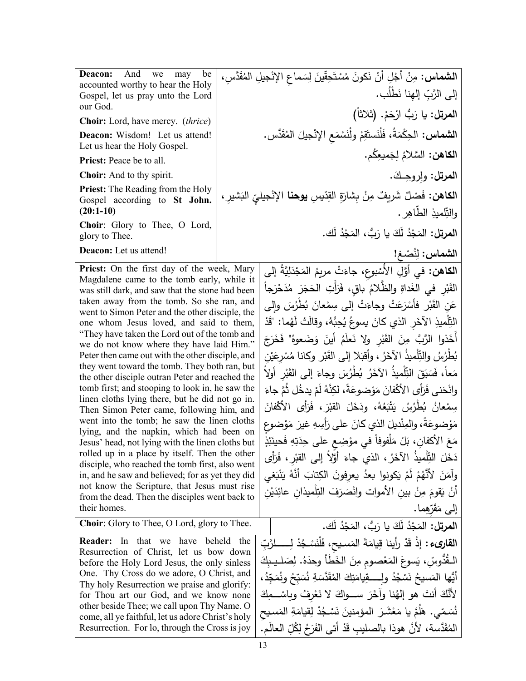| <b>Deacon:</b> And we<br>may be<br>accounted worthy to hear the Holy<br>Gospel, let us pray unto the Lord<br>our God.                                                                                                                                                                                                                                                                                                                                  |  | ا <b>لشماس:</b> مِنْ أَجْلِ أَنْ نَكونَ مُسْتَحِقّينَ لِسَماعِ الإِنْجيلِ المُقَدَّسِ،<br>إلى الرَّبِّ إلهِنا نَطْلُب. |
|--------------------------------------------------------------------------------------------------------------------------------------------------------------------------------------------------------------------------------------------------------------------------------------------------------------------------------------------------------------------------------------------------------------------------------------------------------|--|------------------------------------------------------------------------------------------------------------------------|
| <b>Choir:</b> Lord, have mercy. <i>(thrice)</i>                                                                                                                                                                                                                                                                                                                                                                                                        |  | ا <b>لمرتل:</b> يا رَبُّ ارْحَمْ. (ثلاثاً)                                                                             |
| Deacon: Wisdom! Let us attend!                                                                                                                                                                                                                                                                                                                                                                                                                         |  | <b>الشماس:</b> الحِكْمَةُ، فَلْنَستَقِمْ ولْنَسْمَع الإنْجيلَ المُقَدَّس.                                              |
| Let us hear the Holy Gospel.<br>Priest: Peace be to all.                                                                                                                                                                                                                                                                                                                                                                                               |  | ا <b>لكاهن:</b> السَّلامُ لِجَميعِكُم.                                                                                 |
| Choir: And to thy spirit.                                                                                                                                                                                                                                                                                                                                                                                                                              |  |                                                                                                                        |
| <b>Priest:</b> The Reading from the Holy                                                                                                                                                                                                                                                                                                                                                                                                               |  | ا <b>لمرتل:</b> ولروجك.                                                                                                |
| Gospel according to St John.<br>$(20:1-10)$                                                                                                                                                                                                                                                                                                                                                                                                            |  | ا <b>لكاهن:</b> فَصْلٌ شَريفٌ مِنْ بِشارَةِ القِدّيسِ <b>يوحنا</b> الإنْجيليّ البَشيرِ ،<br>والتِّلميذِ الطَّاهِرِ .   |
| Choir: Glory to Thee, O Lord,<br>glory to Thee.                                                                                                                                                                                                                                                                                                                                                                                                        |  | ا <b>لمرتل:</b> المَجْدُ لَكَ يا رَبُّ، المَجْدُ لَك.                                                                  |
| Deacon: Let us attend!                                                                                                                                                                                                                                                                                                                                                                                                                                 |  | الشماس: لِنُصْـغ!                                                                                                      |
| Priest: On the first day of the week, Mary                                                                                                                                                                                                                                                                                                                                                                                                             |  | ا <b>لكاهن:</b> في أَوَّلِ الأَسْبوعِ، جاءَتْ مريمُ المَجْدَلِيَّةُ إلى                                                |
| Magdalene came to the tomb early, while it                                                                                                                                                                                                                                                                                                                                                                                                             |  | القَبْرِ في الغَداةِ والظَّلامُ باقٍ، فَرَأَتِ الْحَجَرَ مُدَحْرَجاً                                                   |
| was still dark, and saw that the stone had been<br>taken away from the tomb. So she ran, and                                                                                                                                                                                                                                                                                                                                                           |  | عَنِ القَبْرِ فَأَسْرَعَتْ وجاءَتْ إلىي سِمْعانَ بُطْرُسَ وإِلىي                                                       |
| went to Simon Peter and the other disciple, the                                                                                                                                                                                                                                                                                                                                                                                                        |  | التِّلْميذِ الآخَرِ الذي كانَ يسوعُ يُحِبُّهُ، وقالَتْ لَهُما: "قَدْ                                                   |
| one whom Jesus loved, and said to them,<br>"They have taken the Lord out of the tomb and                                                                                                                                                                                                                                                                                                                                                               |  |                                                                                                                        |
| we do not know where they have laid Him."                                                                                                                                                                                                                                                                                                                                                                                                              |  | أَخَذُوا الرَّبَّ مِنَ الْقَبْرِ ولا نَعلَمُ أَينَ وَضَعوهُ" فَخَرَجَ                                                  |
| Peter then came out with the other disciple, and<br>they went toward the tomb. They both ran, but<br>the other disciple outran Peter and reached the<br>tomb first; and stooping to look in, he saw the<br>linen cloths lying there, but he did not go in.<br>Then Simon Peter came, following him, and<br>went into the tomb; he saw the linen cloths<br>lying, and the napkin, which had been on<br>Jesus' head, not lying with the linen cloths but |  | بُطْرُسُ والنِّلْميذُ الآخَرُ ، وأقبَلا إلى القَبْرِ وكانا مُسْرِعَيْن                                                 |
|                                                                                                                                                                                                                                                                                                                                                                                                                                                        |  | مَعاً، فَسَبَقَ التِّلْميذُ الآخَرُ بُطْرُسَ وجاءَ إلىي القَبْرِ أُولاً                                                |
|                                                                                                                                                                                                                                                                                                                                                                                                                                                        |  | وانْحَني فَرَأَى الأَكْفانَ مَوْضوعَةً، لكِنَّهُ لَمْ يدخُل ثُمَّ جاءَ                                                 |
|                                                                                                                                                                                                                                                                                                                                                                                                                                                        |  | سِمْعانُ بُطْرُسُ يَتْبَعُهُ، ودَخَلَ القبْرَ، فَرَأَى الأَكْفانَ                                                      |
|                                                                                                                                                                                                                                                                                                                                                                                                                                                        |  | مَوْضوعَةً، والمِنْديلَ الذي كانَ على رَأْسِهِ غيرَ مَوْضوعِ                                                           |
|                                                                                                                                                                                                                                                                                                                                                                                                                                                        |  | مَعَ الأكفانِ، بَلْ مَلْفوفاً في مؤضِع على حِدَتِهِ فَحينَئِذٍ                                                         |
| rolled up in a place by itself. Then the other                                                                                                                                                                                                                                                                                                                                                                                                         |  | دَخَلَ النِّلْمِيذُ الآخَرُ ، الذي جاءَ أَوَّلاً إلى القبْرِ ، فَرَأَى                                                 |
| disciple, who reached the tomb first, also went<br>in, and he saw and believed; for as yet they did                                                                                                                                                                                                                                                                                                                                                    |  | وآمَنَ لأَنَّهُمْ لَمْ يَكونوا بعدُ يعرفونَ الكِتابَ أَنَّهُ يَنْبَغي                                                  |
| not know the Scripture, that Jesus must rise                                                                                                                                                                                                                                                                                                                                                                                                           |  | أَنْ يَقُومَ مِنْ بينِ الأَموات وانْصَرَفَ التِلْميذانِ عائِدَيْنِ                                                     |
| from the dead. Then the disciples went back to<br>their homes.                                                                                                                                                                                                                                                                                                                                                                                         |  | إلى مَقَرّهِما.                                                                                                        |
| <b>Choir:</b> Glory to Thee, O Lord, glory to Thee.                                                                                                                                                                                                                                                                                                                                                                                                    |  | ا <b>لمرتل:</b> المَجْدُ لَكَ يا رَبُّ، المَجْدُ لَك.                                                                  |
| <b>Reader:</b> In that we have beheld the                                                                                                                                                                                                                                                                                                                                                                                                              |  | ا <b>لقارىء :</b> إذْ قَدْ رأينا قِيامَةَ المَسيحِ، فَلْنَسْجُدْ لِــــــلرَّبِّ                                       |
| Resurrection of Christ, let us bow down                                                                                                                                                                                                                                                                                                                                                                                                                |  | الْـقُدُوسِّ، يَسوعَ المَعْصومِ مِنَ الْخَطَأَ وحدَهُ. لِصَلْـيـبِكَ                                                   |
| before the Holy Lord Jesus, the only sinless<br>One. Thy Cross do we adore, O Christ, and                                                                                                                                                                                                                                                                                                                                                              |  | أَيُّها المَسيحُ نَسْجُدُ ولِـــــقِيامَتِكَ الْمُقَدَّسَةِ نُسَبِّحُ ونُمَجِّدُ،                                      |
| Thy holy Resurrection we praise and glorify:                                                                                                                                                                                                                                                                                                                                                                                                           |  |                                                                                                                        |
| for Thou art our God, and we know none<br>other beside Thee; we call upon Thy Name. O                                                                                                                                                                                                                                                                                                                                                                  |  | لأَنَّكَ أَنتَ هو إلهُنا وآخَرَ ســـواكَ لا نَعْرِفُ وبِاسْـــمِكَ                                                     |
| come, all ye faithful, let us adore Christ's holy                                                                                                                                                                                                                                                                                                                                                                                                      |  | نُسَمّى. هَلَمَّ يا مَعْشَرَ المؤمنينَ نَسْجُدْ لِقِيامَةِ المَسيح                                                     |
| Resurrection. For lo, through the Cross is joy                                                                                                                                                                                                                                                                                                                                                                                                         |  | المُقَدَّسة، لأنَّ هوذا بالصليب قَدْ أتى الفَرَحُ لِكُلِّ العالَمِ.                                                    |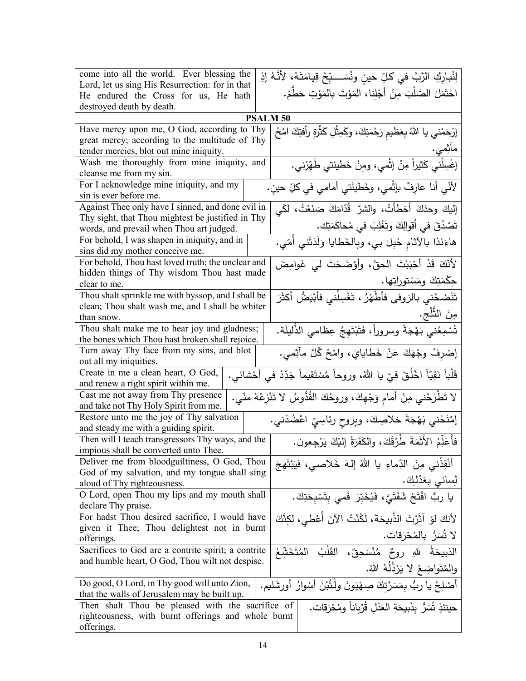| come into all the world. Ever blessing the<br>Lord, let us sing His Resurrection: for in that<br>He endured the Cross for us, He hath                               | لِنُبارِكِ الرَّبَّ في كلِّ حينٍ ونُسَـــبِّحْ قِيامَتَهُ، لأَنَّهُ إذِ<br>احْتَمَلَ الصَّلْبَ مِنْ أَجْلِنا، المَوْتَ بالمَوْتِ حَطَّمْ. |  |  |
|---------------------------------------------------------------------------------------------------------------------------------------------------------------------|-------------------------------------------------------------------------------------------------------------------------------------------|--|--|
| destroyed death by death.                                                                                                                                           |                                                                                                                                           |  |  |
|                                                                                                                                                                     | <b>PSALM 50</b>                                                                                                                           |  |  |
| Have mercy upon me, O God, according to Thy<br>great mercy; according to the multitude of Thy                                                                       | إرْحَمْني يا اللهُ بِعَظيمِ رَحْمَتِكَ، وكَمِثْلِ كَثْرَةٍ رأفتِكَ امْحُ                                                                  |  |  |
| tender mercies, blot out mine iniquity.                                                                                                                             | ماثِمي.                                                                                                                                   |  |  |
| Wash me thoroughly from mine iniquity, and<br>cleanse me from my sin.                                                                                               | إغْسِلْني كَثيراً مِنْ إثْمي، ومِنْ خَطيئتي طَهِّرْني.                                                                                    |  |  |
| For I acknowledge mine iniquity, and my                                                                                                                             | لأنّي أنا عارِفٌ بإثْمي، وخَطيئَتي أمامي في كلِّ حينٍ.                                                                                    |  |  |
| sin is ever before me.<br>Against Thee only have I sinned, and done evil in                                                                                         | إليكَ وحدَكَ أخطأتُ، والشرَّ قُدّامَكَ صَنَعْتُ، لكَي                                                                                     |  |  |
| Thy sight, that Thou mightest be justified in Thy                                                                                                                   |                                                                                                                                           |  |  |
| words, and prevail when Thou art judged.                                                                                                                            | تَصْدُقَ في أقوالِكَ وتَغْلِبَ في مُحاكَمَتِك.                                                                                            |  |  |
| For behold, I was shapen in iniquity, and in<br>sins did my mother conceive me.                                                                                     | هاءَنَذا بالآثام حُبِلَ بي، وبالخَطايا وَلَدَتْني أُمّي.                                                                                  |  |  |
| For behold, Thou hast loved truth; the unclear and                                                                                                                  | لِأَنَّكَ قَدْ أَحْبَبْتَ الْحقَّ، وأَوْضَحْتَ لَى غَوامِضَ                                                                               |  |  |
| hidden things of Thy wisdom Thou hast made<br>clear to me.                                                                                                          | جِكْمَتِكَ ومَسْتوراتِها.                                                                                                                 |  |  |
| Thou shalt sprinkle me with hyssop, and I shall be                                                                                                                  | تَنْضَحُني بالزوفى فأطْهُرُ ، تَغْسِلُني فأَبْيَضُ أكثَرَ                                                                                 |  |  |
| clean; Thou shalt wash me, and I shall be whiter                                                                                                                    |                                                                                                                                           |  |  |
| than snow.                                                                                                                                                          | مِنَ الثَّلْجِ.                                                                                                                           |  |  |
| Thou shalt make me to hear joy and gladness;<br>the bones which Thou hast broken shall rejoice.                                                                     | تُسْمِعُني بَهْجَةً وسروراً، فَتَبْتَهِجُ عِظامي الذَّليلَة.                                                                              |  |  |
| Turn away Thy face from my sins, and blot                                                                                                                           | إِصْرِفْ وِجْهَكَ عَنْ خَطَايايَ، وامْحُ كُلَّ مأَثِمي.                                                                                   |  |  |
| out all my iniquities.                                                                                                                                              |                                                                                                                                           |  |  |
| قَلْباً نَقِيّاً اخْلُقْ فِيَّ يا اللهُ، وروحاً مُسْتَقيماً جَدِّدْ في أَحْشائي.<br>Create in me a clean heart, O God,<br>and renew a right spirit within me.       |                                                                                                                                           |  |  |
| Cast me not away from Thy presence                                                                                                                                  | لا تَطْرَحْني مِنْ أمامٍ وَجْهِكَ، وروحُكَ القُدُوسُ لا تَنْزِعْهُ منّي.                                                                  |  |  |
| and take not Thy Holy Spirit from me.                                                                                                                               |                                                                                                                                           |  |  |
| إمْنَحْني بَهْجَةَ خلاصِكَ، وبِروحِ رِئاسِيِّ اعْضُدْني.<br>Restore unto me the joy of Thy salvation<br>and steady me with a guiding spirit.                        |                                                                                                                                           |  |  |
| فأُعَلِّمُ الأَثَمَةَ طُرُقَكَ، والكَفَرَةُ إليْكَ يَرْجِعون.<br>Then will I teach transgressors Thy ways, and the                                                  |                                                                                                                                           |  |  |
| impious shall be converted unto Thee.                                                                                                                               |                                                                                                                                           |  |  |
| Deliver me from bloodguiltiness, O God, Thou<br>God of my salvation, and my tongue shall sing                                                                       | أَنْقِذْنِي مِنَ الدِّماءِ يا اللهُ إِلٰهَ خَلاصي، فيَبْتَهِجَ                                                                            |  |  |
| aloud of Thy righteousness.                                                                                                                                         | لِساني بِعَدْلِكَ.                                                                                                                        |  |  |
| O Lord, open Thou my lips and my mouth shall<br>declare Thy praise.                                                                                                 | يا ربُ افْتَحْ شَفَتَىَّ، فَيُخَبِّرَ فَمي بِتَسْبِحَتِكَ.                                                                                |  |  |
| For hadst Thou desired sacrifice, I would have                                                                                                                      | لأنكَ لؤ آثَرْتَ الذَّبيحَةَ، لَكُنْتُ الآنَ أُعْطى، لكِنَّكَ                                                                             |  |  |
| given it Thee; Thou delightest not in burnt                                                                                                                         | لا تُسَرُّ بالمُحْرَقات.                                                                                                                  |  |  |
| offerings.                                                                                                                                                          |                                                                                                                                           |  |  |
| Sacrifices to God are a contrite spirit; a contrite<br>and humble heart, O God, Thou wilt not despise.                                                              | الذبيحَةُ اللهِ روحٌ مُنْسَحِقٌ، القَلْبُ<br>المُتَخَشَّعُ                                                                                |  |  |
|                                                                                                                                                                     | والمُتَواضِعُ لا يَرْذَلَهُ اللهُ.                                                                                                        |  |  |
| Do good, O Lord, in Thy good will unto Zion,<br>أَصْلِحْ يا ربُّ بِمَسَرَّتكَ صِهْيَونَ ولْتُبْنَ أَسْوارُ أُورِشَليم.                                              |                                                                                                                                           |  |  |
| that the walls of Jerusalem may be built up.                                                                                                                        |                                                                                                                                           |  |  |
| Then shalt Thou be pleased with the sacrifice of<br>حينئذِ تُسَرُّ بذَبِيحَةِ العَدْلِ قُرْباناً ومُحْرَقات.<br>righteousness, with burnt offerings and whole burnt |                                                                                                                                           |  |  |
| offerings.                                                                                                                                                          |                                                                                                                                           |  |  |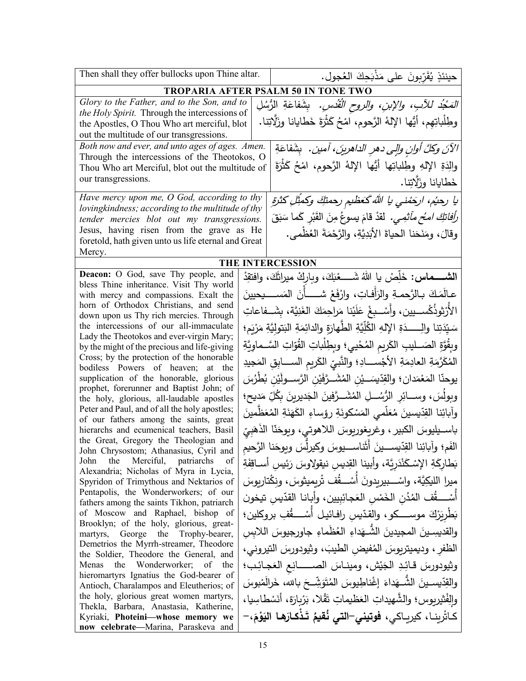| Then shall they offer bullocks upon Thine altar.                                          |                                            | حينئذٍ يُقَرِّبونَ على مَذْبَحِكَ العُجول.                                                 |  |
|-------------------------------------------------------------------------------------------|--------------------------------------------|--------------------------------------------------------------------------------------------|--|
|                                                                                           | <b>TROPARIA AFTER PSALM 50 IN TONE TWO</b> |                                                                                            |  |
| Glory to the Father, and to the Son, and to                                               |                                            | <i>المَجْدُ للآبِ، والإبنِ، والروح الْقُدْسِ.</i> بِشَفاعَةِ الرُّسُلِ                     |  |
| the Holy Spirit. Through the intercessions of                                             |                                            | وطِلْباتِهِم، أَيُّها الإِلهُ الرَّحومِ، امْحُ كَثْرَةَ خَطَايانا وزَلَّاتِنا.             |  |
| the Apostles, O Thou Who art merciful, blot<br>out the multitude of our transgressions.   |                                            |                                                                                            |  |
| Both now and ever, and unto ages of ages. Amen.                                           |                                            |                                                                                            |  |
| Through the intercessions of the Theotokos, O                                             |                                            | الآنَ وكلَّ أوانِ والِي دهرِ الداهرينَ، آمين.   بِشَفاعَةِ                                 |  |
| Thou Who art Merciful, blot out the multitude of                                          |                                            | والِدَةِ الإِلهِ وطِلباتِها أَيُّها الإِلهُ الرَّحومِ، امْحُ كَثْرَةَ                      |  |
| our transgressions.                                                                       |                                            | خَطايانا وزَلَاتِنا.                                                                       |  |
| Have mercy upon me, $O$ God, according to thy                                             |                                            | يا رحيُم، ارجَمْني يا الله كَعظيم رحمتكِ وكمثْلِ كثرةِ                                     |  |
| lovingkindness; according to the multitude of thy                                         |                                            |                                                                                            |  |
| tender mercies blot out my transgressions.                                                |                                            | <i>رأفاتكَ امـُح مآثمِي.</i> لقدْ قامَ يسوعُ مِنَ القَبْرِ كَما سَبَقَ                     |  |
| Jesus, having risen from the grave as He                                                  |                                            | وقالَ، ومَنَحَنا الحياةَ الأَبَدِيَّةِ، والرَّحْمَةَ العُظْمي.                             |  |
| foretold, hath given unto us life eternal and Great<br>Mercy.                             |                                            |                                                                                            |  |
|                                                                                           |                                            | THE INTERCESSION                                                                           |  |
| <b>Deacon:</b> O God, save Thy people, and                                                |                                            | الشــــــماس: خَلِّصْ يا اللهُ شَــــــعْبَكَ، وباركْ ميراثَكَ، وافتقِدْ                   |  |
| bless Thine inheritance. Visit Thy world                                                  |                                            |                                                                                            |  |
| with mercy and compassions. Exalt the<br>horn of Orthodox Christians, and send            |                                            | عـالَمَكَ بـالرَّحمـةِ والرَأفـاتِ، وارْفَعْ شـــــأنَ المَســــيحيينَ                     |  |
| down upon us Thy rich mercies. Through                                                    |                                            | الأَرْثوذُكْســيين، وأسْــبغْ عَلَيْنا مَراحِمَكَ الغَنِيَّة، بِشَــفاعاتِ                 |  |
| the intercessions of our all-immaculate                                                   |                                            | سَيّدَتِنا والِـــــدَةِ الإِلهِ الكُلِّيّةِ الطّهارَةِ والدائِمَةِ البَتوليَّةِ مَرْيَمٍ؛ |  |
| Lady the Theotokos and ever-virgin Mary;                                                  |                                            | وبِقُوَّةِ الصَـــليبِ الكَريمِ المُحْييِ؛ وبِطِلْباتِ القُوّاتِ السَّــماوِيَّةِ          |  |
| by the might of the precious and life-giving<br>Cross; by the protection of the honorable |                                            |                                                                                            |  |
| bodiless Powers of heaven; at the                                                         |                                            | المُكَرَّمَةِ العادِمَةِ الأجْســـادِ؛ والنَّبيِّ الكَريمِ الســــابِقِ المَجيدِ           |  |
| supplication of the honorable, glorious                                                   |                                            | يوحنّا المَعْمَدان؛ والقِدّيسَـــيْنِ المُشَـــرَّفَيْنِ الرَّســـولَيْنِ بُطْرُسَ         |  |
| prophet, forerunner and Baptist John; of<br>the holy, glorious, all-laudable apostles     |                                            | وبولُسَ، وســـائِرِ الرُّسُـــلِ المُشَـــرَّفينَ الجَديرينَ بِكُلِّ مَديحِ؛               |  |
| Peter and Paul, and of all the holy apostles;                                             |                                            | وآبائِنا القِدّيسينَ مُعَلّمي المَسْكونَةِ رؤساءِ الكَهَنَةِ المُعَظّمينَ                  |  |
| of our fathers among the saints, great<br>hierarchs and ecumenical teachers, Basil        |                                            | باســيليوسَ الكبير ، وغريغوريوسَ اللاهوتي، ويوحَنّا الذَهَبِيّ                             |  |
| the Great, Gregory the Theologian and<br>John Chrysostom; Athanasius, Cyril and           |                                            | الفَم؛ وآبائِنا القِدّيســـينَ أثَناســـيوسَ وكيرلِّسَ ويوحَنا الرَّحيم                    |  |
| the Merciful, patriarchs<br>of<br>John                                                    |                                            | بَطارِكَةِ الإِسْكَنْدَرِيَّة، وأبينا القِديسِ نيقولاوسَ رَئِيسِ أَســاقِفَةِ              |  |
| Alexandria; Nicholas of Myra in Lycia,<br>Spyridon of Trimythous and Nektarios of         |                                            | ميرا الليكِيَّة، واسْـــبيريدونَ أَسْــــقُف تْريميثوسَ، ونكْتاريوسَ                       |  |
| Pentapolis, the Wonderworkers; of our                                                     |                                            | أَسْــــقُف المُدُن الْخَمْس الْعَجائِبِيين، وأباننا القدّيس تيخون                         |  |
| fathers among the saints Tikhon, patriarch<br>of Moscow and Raphael, bishop of            |                                            | بَطْرِيَرْكَ موســــكو، والقدّيس رافـائيـل أَسْــــڤُفِ بروكلين؛                           |  |
| Brooklyn; of the holy, glorious, great-                                                   |                                            |                                                                                            |  |
| martyrs, George the Trophy-bearer,                                                        |                                            | والقديسِينَ المجيدينَ الشَّـهَداءِ العُظُماءِ جاورجيوسَ اللابس                             |  |
| Demetrios the Myrrh-streamer, Theodore<br>the Soldier, Theodore the General, and          |                                            | الظفر ، وديميتربوسَ المُفيض الطيبَ، وثيودورسَ التيروني،                                    |  |
| Menas the Wonderworker; of the                                                            |                                            | وثيودورسَ قائِدِ الْجَيْش، ومينـاسَ الصـــــــانِعِ الْعَجـائِب؛                           |  |
| hieromartyrs Ignatius the God-bearer of<br>Antioch, Charalampos and Eleutherios; of       |                                            | والقِدّيسـينَ الشُّــهَداءَ إغْناطِيوسَ المُتَوَشِّــحَ بـالله، خَرالَمْبوسَ               |  |
| the holy, glorious great women martyrs,                                                   |                                            | والِفْثيربوس؛ والشَّهيداتِ العَظيماتِ تَقْلا، بَرْبِارَة، أَنَسْطَاسِيا،                   |  |
| Thekla, Barbara, Anastasia, Katherine,                                                    |                                            |                                                                                            |  |
| Kyriaki, Photeini-whose memory we<br>now celebrate-Marina, Paraskeva and                  |                                            | كاثرينـا، كيريـاكى، <b>فوتين<i>ي</i>–التي نُقيمُ تَذْكـارَهـا اليَوْ</b> مَ،–              |  |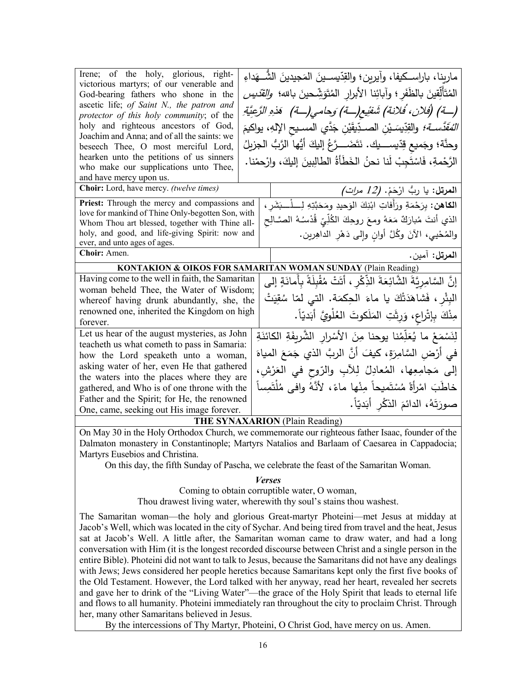| Irene; of the holy, glorious, right-<br>victorious martyrs; of our venerable and<br>God-bearing fathers who shone in the<br>ascetic life; of Saint N., the patron and<br>protector of this holy community; of the<br>holy and righteous ancestors of God,<br>Joachim and Anna; and of all the saints: we | مارينا، باراسـكيفا، وآيرين؛ والقِدّيسـينَ المَجيدينَ الشُّــهَداءِ<br>المُتَأَلِّقِينَ بِالظَفَرِ ؛ وآبائِنا الأبرار المُتَوَشِّحينَ بالله؛ <i>والقدّيس</i><br>(تِّمَ) (فَلان، فَلانة) شَفْيع(تَه) وَحامي(تَه) ۖ هَذِهِ الرَّعِيَّةِ ۖ<br><i>المُقَدَّســة؛</i> والقِدِّيسَـيْنِ الصــدِّيقَيْنِ جَدَّي المســيح الإلهِ، يواكيمَ |  |
|----------------------------------------------------------------------------------------------------------------------------------------------------------------------------------------------------------------------------------------------------------------------------------------------------------|----------------------------------------------------------------------------------------------------------------------------------------------------------------------------------------------------------------------------------------------------------------------------------------------------------------------------------|--|
| beseech Thee, O most merciful Lord,                                                                                                                                                                                                                                                                      | وحنَّة؛ وجَميع قِدِّيســــيك. نَتَضَــــرَّعُ إليكَ أَيُّها الرَّبُّ الـجزيلُ                                                                                                                                                                                                                                                    |  |
| hearken unto the petitions of us sinners<br>who make our supplications unto Thee,                                                                                                                                                                                                                        | الرَّحْمةِ، فَاسْتَجِبْ لَنا نحنُ الخَطَأَةُ الطالِبِينَ إليكَ، وارْحمْنا.                                                                                                                                                                                                                                                       |  |
| and have mercy upon us.<br>Choir: Lord, have mercy. (twelve times)                                                                                                                                                                                                                                       | ا <b>لمرتل:</b> يا ربُّ ارْحَمْ. <i>(12 مرات)</i>                                                                                                                                                                                                                                                                                |  |
| Priest: Through the mercy and compassions and                                                                                                                                                                                                                                                            |                                                                                                                                                                                                                                                                                                                                  |  |
| love for mankind of Thine Only-begotten Son, with                                                                                                                                                                                                                                                        | ا <b>لكاهن:</b> بِرَحْمَةِ ورَأَفاتِ ابْنِكَ الوَحيدِ ومَحَبَّتِهِ لِــــلْـــبَشَرِ ،                                                                                                                                                                                                                                           |  |
| Whom Thou art blessed, together with Thine all-                                                                                                                                                                                                                                                          | الذي أنتَ مُبارَكٌ مَعَهُ ومعَ روحِكَ الكُلِّيِّ قُدْسُـهُ الصَّـالِح                                                                                                                                                                                                                                                            |  |
| holy, and good, and life-giving Spirit: now and                                                                                                                                                                                                                                                          | والمُحْيي، الآنَ وكُلَّ أوانِ وإلى دَهْرِ الداهِرين.                                                                                                                                                                                                                                                                             |  |
| ever, and unto ages of ages.                                                                                                                                                                                                                                                                             |                                                                                                                                                                                                                                                                                                                                  |  |
| Choir: Amen.                                                                                                                                                                                                                                                                                             | المرتل: آمين.                                                                                                                                                                                                                                                                                                                    |  |
|                                                                                                                                                                                                                                                                                                          | <b>KONTAKION &amp; OIKOS FOR SAMARITAN WOMAN SUNDAY (Plain Reading)</b>                                                                                                                                                                                                                                                          |  |
| Having come to the well in faith, the Samaritan                                                                                                                                                                                                                                                          | إِنَّ السَّامِرِيَّةَ الشَّائِعَةَ الذِّكْرِ ، أَتَتْ مُقْبِلَةً بِأَمانَةٍ إلى                                                                                                                                                                                                                                                  |  |
| woman beheld Thee, the Water of Wisdom;                                                                                                                                                                                                                                                                  |                                                                                                                                                                                                                                                                                                                                  |  |
| whereof having drunk abundantly, she, the                                                                                                                                                                                                                                                                | البِئْرِ ، فَشاهَدَتْكَ يا ماءَ الحِكمَة. التي لمّا سُقِيَتْ                                                                                                                                                                                                                                                                     |  |
| renowned one, inherited the Kingdom on high                                                                                                                                                                                                                                                              | مِنْكَ بِإِتْراعِ، وَرِثَتِ المَلَكوتَ الغُلْوِيَّ أَبَديّاً.                                                                                                                                                                                                                                                                    |  |
| forever.                                                                                                                                                                                                                                                                                                 |                                                                                                                                                                                                                                                                                                                                  |  |
| Let us hear of the august mysteries, as John                                                                                                                                                                                                                                                             | لِنَسْمَعْ ما يُعَلِّمُنا يوحنا مِنَ الأَسْرارِ الشَّرِيفَةِ الكائنَةِ                                                                                                                                                                                                                                                           |  |
| teacheth us what cometh to pass in Samaria:                                                                                                                                                                                                                                                              | في أَرْض السَّامِرَةِ، كيفَ أَنَّ الربَّ الذي جَمَعَ المياهَ                                                                                                                                                                                                                                                                     |  |
| how the Lord speaketh unto a woman,                                                                                                                                                                                                                                                                      |                                                                                                                                                                                                                                                                                                                                  |  |
| asking water of her, even He that gathered                                                                                                                                                                                                                                                               | إلى مَجامِعِها، المُعادِلُ لِلأَبِ والرّوحِ في العَرْشِ،                                                                                                                                                                                                                                                                         |  |
| the waters into the places where they are                                                                                                                                                                                                                                                                |                                                                                                                                                                                                                                                                                                                                  |  |
| gathered, and Who is of one throne with the                                                                                                                                                                                                                                                              | خاطَبَ امْرأةً مُسْتَميحاً مِنْها ماءً، لأنَّهُ وافي مُلْتَمِساً                                                                                                                                                                                                                                                                 |  |
| Father and the Spirit; for He, the renowned                                                                                                                                                                                                                                                              | صورَتَهُ، الدائمَ الذكْرِ أَبَديّاً.                                                                                                                                                                                                                                                                                             |  |
| One, came, seeking out His image forever.                                                                                                                                                                                                                                                                |                                                                                                                                                                                                                                                                                                                                  |  |
|                                                                                                                                                                                                                                                                                                          |                                                                                                                                                                                                                                                                                                                                  |  |
|                                                                                                                                                                                                                                                                                                          | <b>THE SYNAXARION</b> (Plain Reading)                                                                                                                                                                                                                                                                                            |  |
|                                                                                                                                                                                                                                                                                                          | On May 30 in the Holy Orthodox Church, we commemorate our righteous father Isaac, founder of the<br>Dalmaton monastery in Constantinople; Martyrs Natalios and Barlaam of Caesarea in Cappadocia;                                                                                                                                |  |

Martyrs Eusebios and Christina.

On this day, the fifth Sunday of Pascha, we celebrate the feast of the Samaritan Woman.

## *Verses*

Coming to obtain corruptible water, O woman,

Thou drawest living water, wherewith thy soul's stains thou washest.

The Samaritan woman—the holy and glorious Great-martyr Photeini—met Jesus at midday at Jacob's Well, which was located in the city of Sychar. And being tired from travel and the heat, Jesus sat at Jacob's Well. A little after, the Samaritan woman came to draw water, and had a long conversation with Him (it is the longest recorded discourse between Christ and a single person in the entire Bible). Photeini did not want to talk to Jesus, because the Samaritans did not have any dealings with Jews; Jews considered her people heretics because Samaritans kept only the first five books of the Old Testament. However, the Lord talked with her anyway, read her heart, revealed her secrets and gave her to drink of the "Living Water"—the grace of the Holy Spirit that leads to eternal life and flows to all humanity. Photeini immediately ran throughout the city to proclaim Christ. Through her, many other Samaritans believed in Jesus.

By the intercessions of Thy Martyr, Photeini, O Christ God, have mercy on us. Amen.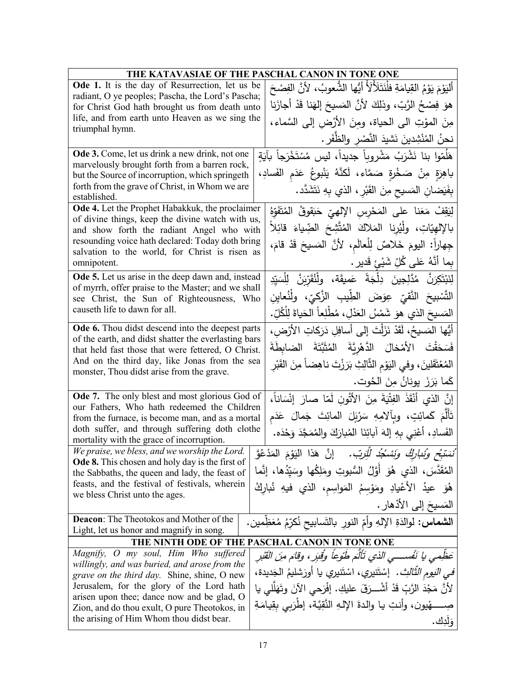| THE KATAVASIAE OF THE PASCHAL CANON IN TONE ONE                                                         |                                                                                               |  |
|---------------------------------------------------------------------------------------------------------|-----------------------------------------------------------------------------------------------|--|
| <b>Ode 1.</b> It is the day of Resurrection, let us be                                                  | أَلْيَوْمَ يَوْمُ الْقِيامَةِ فِلْنَتَلَأَلَأَ أَيُّها الشُّعوبُ، لأَنَّ الفِصْحَ             |  |
| radiant, O ye peoples; Pascha, the Lord's Pascha;                                                       | هوَ فِصْحُ الرَّبِّ، وذلِكَ لأَنَّ المَسيحَ إلهَنا قَدْ أجازَنا                               |  |
| for Christ God hath brought us from death unto                                                          |                                                                                               |  |
| life, and from earth unto Heaven as we sing the<br>triumphal hymn.                                      | مِنَ المؤتِ الى الحياة، ومِنَ الأَرْضِ إلى السَّماء،                                          |  |
|                                                                                                         | نحنُ المُنْشِدينَ نَشيدَ النَّصْرِ والظَّفَرِ .                                               |  |
| Ode 3. Come, let us drink a new drink, not one                                                          | هَلَمّوا بنا نَشْرَبُ مَشْروباً جديداً، ليس مُسْتَخْرَجاً بآيَةٍ                              |  |
| marvelously brought forth from a barren rock,                                                           | باهِرَةٍ مِنْ صَخْرةٍ صَمَّاء، لَكنَّهُ يَنْبوعُ عَدَم الفَسادِ،                              |  |
| but the Source of incorruption, which springeth<br>forth from the grave of Christ, in Whom we are       |                                                                                               |  |
| established.                                                                                            | بِفَيَضانِ المَسيحِ مِنَ القَبْرِ ، الذي بِهِ نَتَشَدَّد.                                     |  |
| Ode 4. Let the Prophet Habakkuk, the proclaimer                                                         | لِيَقِفْ مَعَنا على المَحْرِسِ الإِلهِيّ حَبَقوقُ المُتَفَوِّهُ                               |  |
| of divine things, keep the divine watch with us,<br>and show forth the radiant Angel who with           | بالإلهيّاتِ، ولْيُرنا المَلاكَ المُتَّشِحَ الضِّياءَ قائِلاً                                  |  |
| resounding voice hath declared: Today doth bring                                                        | جِهاراً: اليومَ خَلاصٌ لِلْعالَمِ، لأنَّ المَسيحَ قَدْ قامَ،                                  |  |
| salvation to the world, for Christ is risen as                                                          |                                                                                               |  |
| omnipotent.                                                                                             | بِما أَنَّهُ عَلى كُلِّ شَيْئٍ قَديرٍ .                                                       |  |
| Ode 5. Let us arise in the deep dawn and, instead<br>of myrrh, offer praise to the Master; and we shall | لِنَبْتَكِرَنَّ مُدَّلِجِينَ دِلْجَةً عَميقَة، ولِنُثَّرَبِنَّ لِلْسَيِّدِ                    |  |
| see Christ, the Sun of Righteousness, Who                                                               | التَّسْبِيحَ النَّقيِّ عِوَضَ الطِّيبِ الزَّكيِّ، ولْنُعايِنِ                                 |  |
| causeth life to dawn for all.                                                                           | المَسيحَ الذي هوَ شَمْسُ العَدْلِ، مُطْلِعاً الحَياةَ لِلْكُلِّ.                              |  |
| <b>Ode 6.</b> Thou didst descend into the deepest parts                                                 | أَيُّها المَسيحُ، لَقَدْ نَزَلْتَ إِلَى أَسافِلِ دَرَكاتِ الأَرْضِ،                           |  |
| of the earth, and didst shatter the everlasting bars                                                    | فَسَحَقْتَ الأَمْخالَ الدَّهْرِيَّةَ المُثَبَّتَةَ الضابِطَةَ                                 |  |
| that held fast those that were fettered, O Christ.<br>And on the third day, like Jonas from the sea     |                                                                                               |  |
| monster, Thou didst arise from the grave.                                                               | المُعْتَقَلينَ، وفي النِّوْمِ الثَّالِثِ بَرَزْتَ ناهِضاً مِنَ القَبْرِ                       |  |
|                                                                                                         | كَما بَرَزَ يونانُ مِنَ الحُوت.                                                               |  |
| Ode 7. The only blest and most glorious God of                                                          | إِنَّ الذي أَنْقَذَ الفِتْيَةَ مِنَ الأَتُونِ لَمّا صارَ إِنْسَاناً،                          |  |
| our Fathers, Who hath redeemed the Children                                                             | تَأَلَّمَ كَمائِتٍ، وبِٱلامِهِ سَرْبَلَ المائِتَ جَمالَ عَدَم                                 |  |
| from the furnace, is become man, and as a mortal<br>doth suffer, and through suffering doth clothe      |                                                                                               |  |
| mortality with the grace of incorruption.                                                               | الفَسادِ، أَعْنِي بِهِ إِلهَ آبائِنَا المُبارَكَ والمُمَجَّدَ وَحْدَه.                        |  |
| We praise, we bless, and we worship the Lord.                                                           | ُن <i>َسَبَّحٍ وُنُباركُ وَنَسْكُد لِلْزَبّ.</i> إنَّ هَذا ال <sub>َ</sub> يَوْمَ المَدْعُوَّ |  |
| <b>Ode 8.</b> This chosen and holy day is the first of                                                  | الْمُقَدَّسَ، الذي هُوَ أَوَّلُ السُّبوتِ ومَلِكُها وسَيِّدُها، إنَّما                        |  |
| the Sabbaths, the queen and lady, the feast of<br>feasts, and the festival of festivals, wherein        |                                                                                               |  |
| we bless Christ unto the ages.                                                                          | هُوَ عيدُ الأُعْيادِ ومَوْسِمُ المَواسِم، الذي فيهِ نُباركُ                                   |  |
|                                                                                                         | المَسيحَ إلى الأذهار .                                                                        |  |
| <b>Deacon:</b> The Theotokos and Mother of the<br>Light, let us honor and magnify in song.              | ا <b>لشماس:</b> لوالدَةِ الإلهِ وأمِّ النورِ بالتَّسابيح نُكرِّمُ مُعَظِّمين.                 |  |
|                                                                                                         | THE NINTH ODE OF THE PASCHAL CANON IN TONE ONE                                                |  |
| Magnify, O my soul, Him Who suffered                                                                    | عَظِّمي يا نَفْســـي الذي تَأْلَمَ طَوْعاً وُقْبَرٍ ، وقام منَ القَبْرِ                       |  |
| willingly, and was buried, and arose from the                                                           | <i>في النّوم الثّالثِ .</i> إسْتَنيري، اسْتَنيري يا أورَشليمُ الْجَديدة،                      |  |
| grave on the third day. Shine, shine, O new<br>Jerusalem, for the glory of the Lord hath                |                                                                                               |  |
| arisen upon thee; dance now and be glad, O                                                              | لأَنَّ مَجْدَ الرَّبِّ قَدْ أَشْـــرَقَ عليكِ. إفْرَحي الآنَ وتَهَلَّلي يا                    |  |
| Zion, and do thou exult, O pure Theotokos, in                                                           | صِــــــهْيون، وأنتِ يـا والدةَ الإلـهِ النَّقِيَّة، إطْرَبِي بِقِيامَةِ                      |  |
| the arising of Him Whom thou didst bear.                                                                | وَلَٰذِك.                                                                                     |  |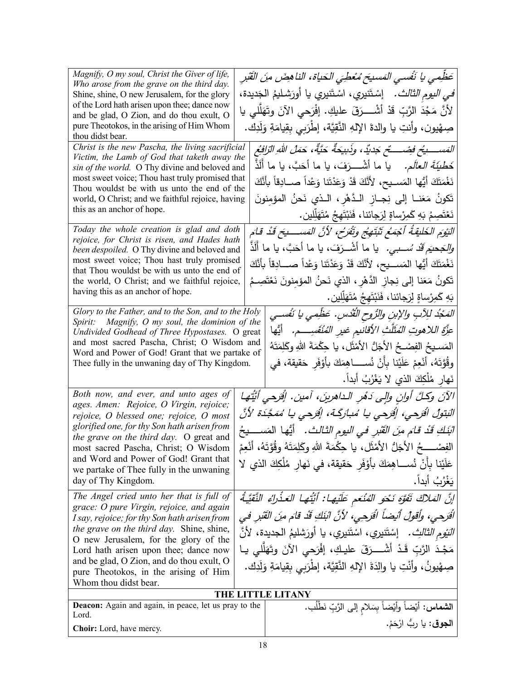| Magnify, O my soul, Christ the Giver of life,<br>Who arose from the grave on the third day.       |  | عَظِمي يا نَفْسي المَسيحَ مُعْطِيَ الحَياةِ، الناهِضَ مِنَ الْقَبْرِ                       |
|---------------------------------------------------------------------------------------------------|--|--------------------------------------------------------------------------------------------|
| Shine, shine, O new Jerusalem, for the glory                                                      |  | <i>في اليوم الثالث.</i> إسْتَنيري، اسْتَنيري يا أورَشليمُ الجَديدة،                        |
| of the Lord hath arisen upon thee; dance now                                                      |  |                                                                                            |
| and be glad, O Zion, and do thou exult, O                                                         |  | لأنَّ مَجْدَ الرَّبِّ قَدْ أَشْــــرَقَ عليكِ. إفْرَحي الآنَ وتَهَلَّلي يا                 |
| pure Theotokos, in the arising of Him Whom<br>thou didst bear.                                    |  | صِهْيون، وأنتِ يا والدةَ الإلهِ النُّقِيَّة، إطْرَبِي بِقِيامَةِ وَلَدِك.                  |
| Christ is the new Pascha, the living sacrificial                                                  |  | المَســــدِيُح فضِـــــتِّح جَديدٌ، وذَبيحَةٌ حَيَّةٌ، حَمَلُ اللهِ الزّافِعُ              |
| Victim, the Lamb of God that taketh away the<br>sin of the world. O Thy divine and beloved and    |  | خَطْ <i>يَةَ العالَم.</i> يا ما أشْــــرَفَ، يا ما أَحَبَّ، يا ما أَلَذَ                   |
| most sweet voice; Thou hast truly promised that                                                   |  |                                                                                            |
| Thou wouldst be with us unto the end of the                                                       |  | نَغْمَتَكَ أَيُّها المَسـيح، لأَنَّكَ قَدْ وَعَدْتَنا وَعْداً صـــادِقاً بأَنَّكَ          |
| world, O Christ; and we faithful rejoice, having                                                  |  | تَكونُ مَعَنــا إلى نِجــاز الــدَّهْرِ ، الــذي نَحنُ المؤمِنونَ                          |
| this as an anchor of hope.                                                                        |  | نَعْتَصِمُ بَهِ كَمِرْساةٍ لِرَجائنا، فَنَبْتَهِجُ مُتَهَلِّلين.                           |
| Today the whole creation is glad and doth<br>rejoice, for Christ is risen, and Hades hath         |  | النِّيوَم الخَليقةُ أَجْمَعُ تَبْتَهِجُ وتَقْرَح، لأنَّ المَســـــنِحَ قَدْ قامَ           |
| been despoiled. O Thy divine and beloved and                                                      |  | <i>والِ</i> جَحبَ <i>م قَدْ سُــبي.</i> يا ما أشْــرَفَ، يا ما أَحَبَّ، يا ما أَلَذَّ      |
| most sweet voice; Thou hast truly promised<br>that Thou wouldst be with us unto the end of        |  | نَغْمَتَكَ أَيُّها المَســـيح، لأَنَّكَ قَدْ وَعَدْتَنا وَعْداً صــــادِقاً بأَنَّكَ       |
| the world, O Christ; and we faithful rejoice,                                                     |  | تَكونُ مَعَنا إلى نِجاز الدَّهْرِ ، الذي نَحنُ المؤمِنونَ نَعْتَصِـمُ                      |
| having this as an anchor of hope.                                                                 |  | بَهِ كَمِرْساةٍ لِرَجائنا، فَنَبْتَهِجُ مُتَهَلِّلِين.                                     |
| Glory to the Father, and to the Son, and to the Holy                                              |  | المَجْدُ للِآبِ والإبنِ والرُّوحِ الثُّلُاسِ. عَظِمي يا نَفْسي                             |
| Spirit: Magnify, O my soul, the dominion of the<br>Undivided Godhead of Three Hypostases. O great |  | عزَّة اللاهوتِ المُثَلَّثِ الأقانيمِ غيرِ المُنْقَسِــــم.    أَيُّها                      |
| and most sacred Pascha, Christ; O Wisdom and                                                      |  |                                                                                            |
| Word and Power of God! Grant that we partake of                                                   |  | المَسـيحُ الفِصْـحُ الأجَلُّ الأَمْثَلِ، يا حِكْمَةَ اللهِ وكَلِمَتَهُ                     |
| Thee fully in the unwaning day of Thy Kingdom.                                                    |  | وقُوَّتَهُ، أَنْعِمْ عَلَيْنا بِأَنْ نُســــاهِمَكَ بِأَوْفَرِ حَقيقة، في                  |
|                                                                                                   |  | نَهارِ مُلْكِكَ الذي لا يَغْرُبُ أَبداً.                                                   |
| Both now, and ever, and unto ages of<br>ages. Amen: Rejoice, O Virgin, rejoice;                   |  | الآنَ وكلَّ أُوانِ وإلى دَهْرِ الداهرينَ، آمين. إفَرحي أيَّتُها                            |
| rejoice, O blessed one; rejoice, O most                                                           |  | الْبَتولُ افْرَحي، إفْرَحي يا مُبارَكَـة، إفْرَحي يا مُمَجَّدَة لأنَّ                      |
| glorified one, for thy Son hath arisen from<br>the grave on the third day. O great and            |  | انْبَكَ قَدْ قامَ م <i>ِنَ الْقَبْرِ في اليوم الثّالث.</i> أَيُّها  المَســــيحُ           |
| most sacred Pascha, Christ; O Wisdom                                                              |  | الفِصْــــــحُ الأجَلُّ الأَمْثَلِ، يا حِكْمَةَ اللهِ وكَلِمَتَهُ وقُوَّتَهُ، أُنْعِمْ     |
| and Word and Power of God! Grant that                                                             |  | عَلَيْنا بِأَنْ نُســـاهِمَكَ بأَوْفَرِ حَقيقة، في نَهارِ مُلْكِكَ الذي لا                 |
| we partake of Thee fully in the unwaning<br>day of Thy Kingdom.                                   |  | يَغْرُبُ أَبِداً.                                                                          |
| The Angel cried unto her that is full of                                                          |  | إِنَّ المَلاكَ تَفَوَّهَ نَحْوَ الْمُنْعَمِ عَلَيْهَا: أَيَّنُهَا الْعَذْرِكُ النَّقِيَّةُ |
| grace: O pure Virgin, rejoice, and again<br>I say, rejoice; for thy Son hath arisen from          |  | الْقَرِحِي، وأَقُولُ أَلِيضاً الْقَرِحِي، لأَنَّ الْبَنَكِ قَدْ قَامَ مِنَ الْقَبْرِ في    |
| the grave on the third day. Shine, shine,                                                         |  | <i>النّيوم الثالث .</i> إسْتَنيري، اسْتَنيري، يا أورَشليمُ الجديدة، لأنّ                   |
| O new Jerusalem, for the glory of the                                                             |  |                                                                                            |
| Lord hath arisen upon thee; dance now                                                             |  | مَجْدَ الرَّبِّ قَدْ أَشْـــرَقَ عليكِ، إفْرَحى الآنَ وتَهَلَّلي يـا                       |
| and be glad, O Zion, and do thou exult, O<br>pure Theotokos, in the arising of Him                |  | صِهْيونُ، وأَنْتِ يا والِدَةَ الإِلهِ النَّقِيَّة، إطْرَبِي بِقِيامَةِ وَلَدِك.            |
| Whom thou didst bear.                                                                             |  |                                                                                            |
| THE LITTLE LITANY                                                                                 |  |                                                                                            |
| Deacon: Again and again, in peace, let us pray to the                                             |  | ا <b>لشماس:</b> أيْضاً وأيْضاً بِسَلام إلى الرَّبِّ نَطْلُب.                               |
| Lord.                                                                                             |  | ا <b>لجوق</b> : يا رِبُّ ارْحَمْ.                                                          |
| Choir: Lord, have mercy.                                                                          |  |                                                                                            |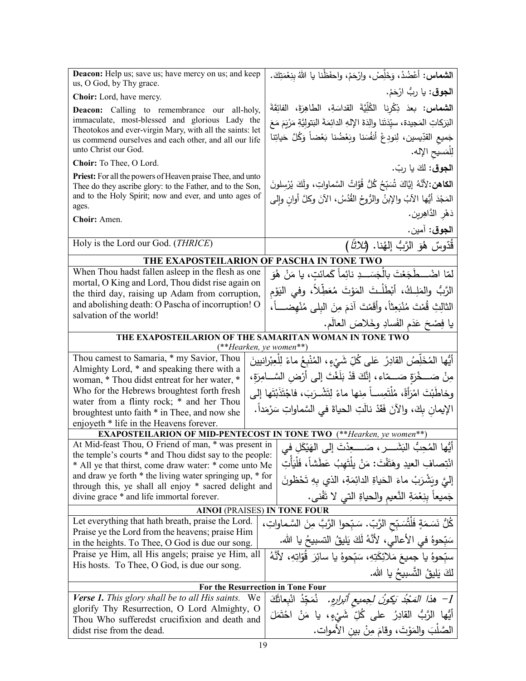| Deacon: Help us; save us; have mercy on us; and keep<br>us, O God, by Thy grace.                                  | ا <b>لشماس:</b> أعْضُدْ، وَخَلِّصْ، وارْحَمْ، واحفَظْنا يا اللهُ بنِعْمَتِكَ.           |
|-------------------------------------------------------------------------------------------------------------------|-----------------------------------------------------------------------------------------|
| Choir: Lord, have mercy.                                                                                          | ا <b>لجوق</b> : يا ربُ ارْحَمْ.                                                         |
| <b>Deacon:</b> Calling to remembrance our all-holy,                                                               | ا <b>لشماس: بع</b> دَ ذِكْرِنا الكُلِّيَّةَ القداسَةِ، الطاهِرَةَ، الفائِقَةَ           |
| immaculate, most-blessed and glorious Lady the                                                                    | البَرَكاتِ المَجيدة، سيِّدَتَنا والِدَةَ الإِلهِ الدائِمَةَ البَتولِيَّةِ مَرْيَمَ مَعَ |
| Theotokos and ever-virgin Mary, with all the saints: let<br>us commend ourselves and each other, and all our life | جَميع القدِّيسين، لِنودِعْ أَنفُسَنا وبَعْضُنا بَعْضاً وَكُلَّ حَياتِنا                 |
| unto Christ our God.                                                                                              | لِلْمَسيحِ الإِله.                                                                      |
| Choir: To Thee, O Lord.                                                                                           |                                                                                         |
| Priest: For all the powers of Heaven praise Thee, and unto                                                        | الجوق: لكَ يا ربّ.                                                                      |
| Thee do they ascribe glory: to the Father, and to the Son,                                                        | ا <b>لكاهن:</b> 'لأَنَّهُ إِيَّاكَ شُبَجُ كُلُّ قُوَّاتُ السَّماواتِ، ولَكَ يُرْسلونَ   |
| and to the Holy Spirit; now and ever, and unto ages of                                                            | المَجْدَ أَيُّها الآبُ والإبنُ والرُّوحُ القُدُسُ، الآنَ وكلَّ أوانِ وإلى               |
| ages.<br>Choir: Amen.                                                                                             | دَهْرِ الدَّاهِرِينِ.                                                                   |
|                                                                                                                   | ا <b>لجوق</b> : آمين.                                                                   |
| Holy is the Lord our God. (THRICE)                                                                                | قُدّوسٌ هُوَ الرَّبُّ إِلهُنا. ( <i>ثلاثاً</i> )                                        |
| THE EXAPOSTEILARION OF PASCHA IN TONE TWO                                                                         |                                                                                         |
| When Thou hadst fallen asleep in the flesh as one                                                                 | لمّا اضْـــطَجَعْتَ بِالْجَسَـــدِ نائِماً كَمائتِ، يا مَنْ هُوَ                        |
| mortal, O King and Lord, Thou didst rise again on                                                                 | الرَّبُّ والمَلِـكُ، أَبْطَلْـتَ المَوْتَ مُعَطِّلاً، وفي اليَوْم                       |
| the third day, raising up Adam from corruption,<br>and abolishing death: O Pascha of incorruption! O              |                                                                                         |
| salvation of the world!                                                                                           | الثالِثِ قُمْتَ مُنْبَعِثاً، وأقَمْتَ آدَمَ مِنَ البلي مُنْهضــــاً،                    |
|                                                                                                                   | يا فِصْحَ عَدَمِ الفَسادِ وخَلاصَ العالَمِ.                                             |
| THE EXAPOSTEILARION OF THE SAMARITAN WOMAN IN TONE TWO<br>(**Hearken, ye women**)                                 |                                                                                         |
| Thou camest to Samaria, * my Savior, Thou                                                                         | أَيُّها المُخَلِّصُ القادِرُ عَلَى كُلِّ شَيْءٍ، المُنْبِعُ ماءً لِلْعِبْرانيينَ        |
| Almighty Lord, * and speaking there with a                                                                        | مِنْ صَـــخْرَةٍ صَـــمّاء، إنَّكَ قَدْ بَلَغْتَ إلى أَرْضِ السَّــامِرَةِ،             |
| woman, * Thou didst entreat for her water, *                                                                      |                                                                                         |
| Who for the Hebrews broughtest forth fresh<br>water from a flinty rock; * and her Thou                            | وخاطَبْتَ امْرَأَةً، مُلْتَمِســاً مِنها ماءً لِتَشْــرَبَ، فاجْتَذَبْتَها إلى          |
| broughtest unto faith * in Thee, and now she                                                                      | الإيمان بِكَ، والآنَ فَقَدْ نالَتِ الحياةَ في السَّماواتِ سَرْمَداً.                    |
| enjoyeth * life in the Heavens forever.                                                                           |                                                                                         |
| <b>EXAPOSTEILARION OF MID-PENTECOST IN TONE TWO</b> (**Hearken, ye women**)                                       |                                                                                         |
| At Mid-feast Thou, O Friend of man, * was present in<br>the temple's courts * and Thou didst say to the people:   | أَيُّها المُحِبُّ البَشَــــرِ ، صَـــــعِدْتَ إلى الهَيْكَلِ فــِ                      |
| * All ye that thirst, come draw water: * come unto Me                                                             | انْتِصافِ العيدِ وهَتَفْتَ: مَنْ يلْتَهِبُ عَطَشاً، فَلْيَأْتِ                          |
| and draw ye forth * the living water springing up, * for                                                          | إِلَيَّ وِيَشْرَبْ ماءَ الْحَياةِ الدائِمَةِ، الذي بهِ تَحْظُونَ                        |
| through this, ye shall all enjoy * sacred delight and                                                             |                                                                                         |
| divine grace * and life immortal forever.                                                                         | جَميعاً بِنِعْمَةِ النَّعيمِ والحياةِ التي لا تَفْني.                                   |
| <b>AINOI (PRAISES) IN TONE FOUR</b><br>Let everything that hath breath, praise the Lord.                          |                                                                                         |
| Praise ye the Lord from the heavens; praise Him                                                                   | كُلُّ نَسَمَةٍ فَلْثُسَبِّحِ الرَّبِّ. سَبِّحوا الرَّبَّ مِنَ السَّماواتِ،              |
| in the heights. To Thee, O God is due our song.                                                                   | سَبِّحوهُ في الأعالي، لأنَّهُ لَكَ يَليقُ التسبيحُ يا الله.                             |
| Praise ye Him, all His angels; praise ye Him, all                                                                 | سبِّحوهُ يا جميعَ مَلائِكَتِهِ، سَبّحوهُ يا سائِرَ قُوّاتِهِ، لأَنَّهُ                  |
| His hosts. To Thee, O God, is due our song.                                                                       | لكَ يَليقُ التَّسبيحُ يا الله.                                                          |
| For the Resurrection in Tone Four                                                                                 |                                                                                         |
| <b>Verse 1.</b> This glory shall be to all His saints.<br>We                                                      | 1−   هذا  المَعْدُ يَكونُ لـِجميع أُبرارهِ.    نُمَجِّدُ  انْبِعانَكَ                   |
| glorify Thy Resurrection, O Lord Almighty, O                                                                      | أَيُّها الرَّبُّ القادِرُ على كُلِّ شَيْءٍ، يا مَنْ احْتَمَلَ                           |
| Thou Who sufferedst crucifixion and death and<br>didst rise from the dead.                                        | الصَّلْبَ والمَوْتَ، وقامَ مِنْ بين الأموات.                                            |
|                                                                                                                   |                                                                                         |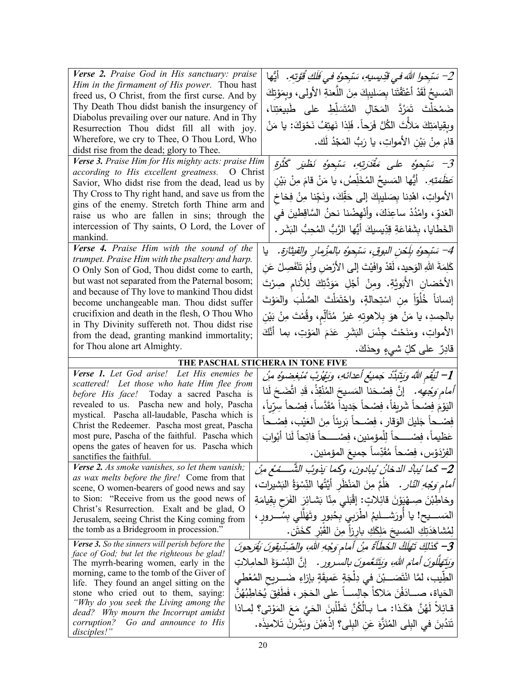| Verse 2. Praise God in His sanctuary: praise<br>Him in the firmament of His power. Thou hast<br>freed us, O Christ, from the first curse. And by<br>Thy Death Thou didst banish the insurgency of<br>Diabolus prevailing over our nature. And in Thy<br>Resurrection Thou didst fill all with joy.<br>Wherefore, we cry to Thee, O Thou Lord, Who<br>didst rise from the dead; glory to Thee.<br>Verse 3. Praise Him for His mighty acts: praise Him<br>according to His excellent greatness. O Christ | 2– سَبْحوا اللهَ في قَدِيسِيهِ، سَبْحوهُ في فَلَكِ قُوَّتِهِ.    أَيُّها<br>المَسيحُ لَقَدْ أَعْتَقْتَنا بِصَليبِكَ مِنَ اللَّعنةِ الأُولَى، وبِمَوْتِكَ<br>ضَمْحَلْتَ تَمَرُدَّ الْمَحَالِ المُتَسَلِّطِ على طَبيعَتِنا،<br>وبِقِيامَتِكَ مَلأَتَ الكُلَّ فَرَحاً. فَلِذا نَهتِفُ نَحْوَكَ: يا مَنْ<br>قامَ مِنْ بَيْنِ الأَمواتِ، يا رَبُّ المَجْدُ لَك.<br>3– سَبْحوهُ على مَقْدَرتِهِ، سَبْحوهُ نَظْيَرِ كَثْرَةِ                                                      |
|--------------------------------------------------------------------------------------------------------------------------------------------------------------------------------------------------------------------------------------------------------------------------------------------------------------------------------------------------------------------------------------------------------------------------------------------------------------------------------------------------------|----------------------------------------------------------------------------------------------------------------------------------------------------------------------------------------------------------------------------------------------------------------------------------------------------------------------------------------------------------------------------------------------------------------------------------------------------------------------------|
| Savior, Who didst rise from the dead, lead us by<br>Thy Cross to Thy right hand, and save us from the<br>gins of the enemy. Stretch forth Thine arm and<br>raise us who are fallen in sins; through the<br>intercession of Thy saints, O Lord, the Lover of<br>mankind.<br>Verse 4. Praise Him with the sound of the                                                                                                                                                                                   | صَ <i>َطَّمَتِهِ.</i> أَيُّها المَسيحُ المُخَلِّصُ، يا مَنْ قامَ مِنْ بَيْن<br>الأمواتِ، اهْدِنا بِصَليبِكَ إلى حَقِّكَ، ونَجِّنا مِنْ فِخاخ<br>العَدوِّ، وامْدُدْ ساعِدَكَ، وأَنْهِضْنا نحنُ السَّاقِطينَ في<br>الخَطايا، بِشَفاعَةِ قِدِّيسيكَ أَيُّها الرَّبُّ المُحِبُّ البَشَرِ .                                                                                                                                                                                     |
| trumpet. Praise Him with the psaltery and harp.<br>O Only Son of God, Thou didst come to earth,<br>but wast not separated from the Paternal bosom;<br>and because of Thy love to mankind Thou didst<br>become unchangeable man. Thou didst suffer<br>crucifixion and death in the flesh, O Thou Who<br>in Thy Divinity suffereth not. Thou didst rise<br>from the dead, granting mankind immortality;<br>for Thou alone art Almighty.                                                                  | 4– سَبْحوهُ بِلَحْنِ البوقِ، سَبْحوهُ بِالمِزْمِارِ والقيثارةِ.<br>يا<br>كَلِمَةَ اللّهِ الوَحيد، لَقدْ وافَيْتَ إلى الأرْضِ ولَمْ تَنْفَصِلْ عَن<br>الأَحْضانِ الأَبَويَّةِ. ومِنْ أَجْلِ مَوَدَّتِكَ لِلأَنامِ صِرْتَ<br>إنساناً خُلُوّاً مِن اسْتِحالةٍ، واحْتَمَلْتَ الصَّلْبَ والمَوْتَ<br>بالجسدِ، يا مَنْ هوَ بِلاهوتِهِ غيرُ مُتَأَلِّم، وقُمْتَ مِنْ بَيْنِ<br>الأمواتِ، ومَنَحْتَ جِنْسَ الْبَشَرِ عَدَمَ الْمَوْتِ، بما أَنَّكَ<br>قادِرٌ على كلِّ شيءٍ وحدَكَ. |
|                                                                                                                                                                                                                                                                                                                                                                                                                                                                                                        | THE PASCHAL STICHERA IN TONE FIVE                                                                                                                                                                                                                                                                                                                                                                                                                                          |
| Verse 1. Let God arise! Let His enemies be<br>scattered! Let those who hate Him flee from<br>before His face! Today a sacred Pascha is<br>revealed to us. Pascha new and holy, Pascha<br>mystical. Pascha all-laudable, Pascha which is<br>Christ the Redeemer. Pascha most great, Pascha<br>most pure, Pascha of the faithful. Pascha which<br>opens the gates of heaven for us. Pascha which<br>sanctifies the faithful.                                                                             | ِ 1– لَيَقُمِ اللَّهُ وَيَتَبَدَّدُ جَمِيعُ أَعدائَهِ، وَيَهُرُبْ مُبْغِضوهُ مِنْ<br><i>أمام وَجْهِه.</i> إنَّ فِصْحَنا المَسيحَ المُنْقِذْ، قَدِ اتَّضَحَ لَنا<br>اليَوْمَ فِصْحاً شَرِيفاً، فِصْحاً جَديداً مُقَدَّساً، فِصْحاً سِرّياً،<br>فِصْــحاً جَليلَ الوَقارِ ، فِصْــحاً بَرِيئاً مِنَ العَيْبِ، فِصْــحاً<br>الفِرْدَوْس، فِصْحاً مُقَدِّساً جميعَ المؤمنين.                                                                                                   |
| Verse 2. As smoke vanishes, so let them vanish;<br>as wax melts before the fire! Come from that<br>scene, O women-bearers of good news and say<br>to Sion: "Receive from us the good news of                                                                                                                                                                                                                                                                                                           | 2– كَما يُبادُ الدخانُ يُبادونِ، وكَما يَذوبُ الشَّـــمُعُ مِنْ<br>أَ <i>مام وَجْهِ النّارِ .</i> ۚ هَلَّمَّ مِنَ الْمَنْظُرِ أَيَّتُها النِّسْوَةُ الْبَشْيَرَات،                                                                                                                                                                                                                                                                                                         |
| Christ's Resurrection. Exalt and be glad, O<br>Jerusalem, seeing Christ the King coming from<br>the tomb as a Bridegroom in procession."<br><b>Verse 3.</b> So the sinners will perish before the                                                                                                                                                                                                                                                                                                      | وخاطِبْنَ صِـهْيَوْنَ قَائِلاتٍ: إِقْبَلَى مِنّا بَشَـائِرَ الفَرَحِ بِقِيامَةِ<br>المَســــيح! يا أُورَشــــليمُ اطرَبـي بِـحُبورِ وتَهَلَلـي بِسُــــرورِ ،<br>لِمُشَاهَدَتِكِ المَسيحَ مَلِكَكِ بارزاً مِنَ القَبْرِ كَخَتَنٍ.<br>7- كَذلِكَ تَهْلَكُ الخَطَأَةُ مِنْ أمام وَجْهِ اللهِ، والصِّدِّيقِونَ يُفَرَحونَ                                                                                                                                                     |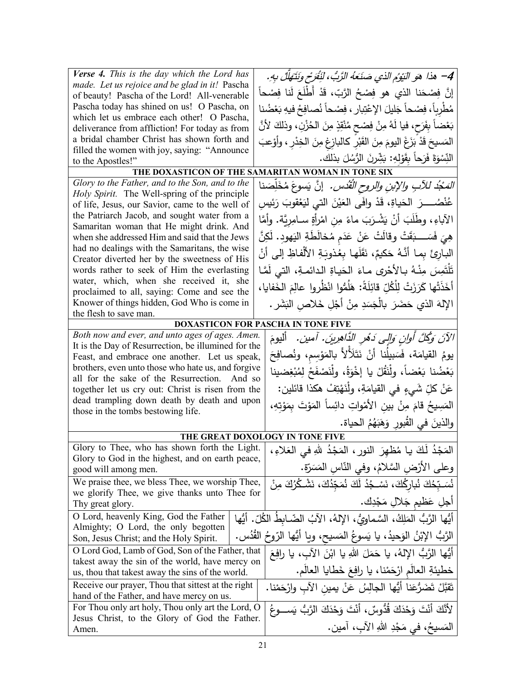| Verse 4. This is the day which the Lord has<br>made. Let us rejoice and be glad in it! Pascha<br>of beauty! Pascha of the Lord! All-venerable<br>Pascha today has shined on us! O Pascha, on<br>which let us embrace each other! O Pascha,<br>deliverance from affliction! For today as from<br>a bridal chamber Christ has shown forth and | 4– هذا هو النَيْوُم الذي صَنَعَهُ الرَّبُ، لَنْفَرَح وَنَتَهَلَّلْ بِهِ.<br>إنَّ فِصْحَنا الذي هو فِصْحُ الرَّبِّ، قَدْ أَطْلَعَ لَنا فِصْحاً<br>مُطْرِباً، فِصْحاً جَليلَ الإعْتِبارِ ، فِصْحاً نُصافِحُ فيهِ بَعْضُنا<br>بَعْضاً بِفَرَحٍ، فيا لَهُ مِنْ فِصْحٍ مُنْقِذٍ مِنَ الْحُزْنِ، وذلكَ لأَنَّ |
|---------------------------------------------------------------------------------------------------------------------------------------------------------------------------------------------------------------------------------------------------------------------------------------------------------------------------------------------|---------------------------------------------------------------------------------------------------------------------------------------------------------------------------------------------------------------------------------------------------------------------------------------------------------|
| filled the women with joy, saying: "Announce                                                                                                                                                                                                                                                                                                | المَسيحَ قَدْ بَزَغَ اليومَ مِنَ القَبْرِ كالبازِغِ مِنَ الخِدْرِ ، وأوْعبَ<br>النِّسْوَةَ فَرَحاً بِقَوْلِهِ: بَشِّرنَ الرُّسُلَ بذلك.                                                                                                                                                                 |
| to the Apostles!"                                                                                                                                                                                                                                                                                                                           | THE DOXASTICON OF THE SAMARITAN WOMAN IN TONE SIX                                                                                                                                                                                                                                                       |
| Glory to the Father, and to the Son, and to the                                                                                                                                                                                                                                                                                             |                                                                                                                                                                                                                                                                                                         |
| Holy Spirit. The Well-spring of the principle                                                                                                                                                                                                                                                                                               | المَعْدُ للآبِ والإبنِ والروحِ القُدْسِ. ۚ إنَّ يَسوعَ مُخَلِّصَنا                                                                                                                                                                                                                                      |
| of life, Jesus, our Savior, came to the well of                                                                                                                                                                                                                                                                                             | عُنْصُـــــرَ  الحَياةِ، قَدْ وافَى العَيْنَ التي ليَعْقوبَ رَئيسِ                                                                                                                                                                                                                                      |
| the Patriarch Jacob, and sought water from a<br>Samaritan woman that He might drink. And                                                                                                                                                                                                                                                    | الآباءِ، وطَلَبَ أَنْ يَشْرَبَ ماءً مِنِ امْرأَةٍ سـامِرِيَّة. وأمَّا                                                                                                                                                                                                                                   |
| when she addressed Him and said that the Jews                                                                                                                                                                                                                                                                                               | هِيَ فَسَــــبَقَتْ وقالَتْ عَنْ عَدَمٍ مُخالَطَةِ النَهودِ. لَكِنَّ                                                                                                                                                                                                                                    |
| had no dealings with the Samaritans, the wise                                                                                                                                                                                                                                                                                               |                                                                                                                                                                                                                                                                                                         |
| Creator diverted her by the sweetness of His                                                                                                                                                                                                                                                                                                | البارِئَ بِما أَنَّهُ حَكيمٌ، نَقَلَها بِعُذوبَةِ الأَلْفاظِ إلى أَنْ                                                                                                                                                                                                                                   |
| words rather to seek of Him the everlasting                                                                                                                                                                                                                                                                                                 | تَلْتَمِسَ مِنْـهُ بـالأَحْرِي مـاءَ الْحَيـاةِ الدائمـةِ، التي لَمَّـا                                                                                                                                                                                                                                 |
| water, which, when she received it, she                                                                                                                                                                                                                                                                                                     | أَخَذَتْها كَرَزَتْ لِلْكُلِّ قَائِلَةً: هَلُمُّوا انْظُروا عالِمَ الخَفايا،                                                                                                                                                                                                                            |
| proclaimed to all, saying: Come and see the<br>Knower of things hidden, God Who is come in                                                                                                                                                                                                                                                  |                                                                                                                                                                                                                                                                                                         |
| the flesh to save man.                                                                                                                                                                                                                                                                                                                      | الإِلهَ الذي حَضَرَ بِالْجَسَدِ مِنْ أَجْلِ خَلاصٍ البَشَرِ .                                                                                                                                                                                                                                           |
|                                                                                                                                                                                                                                                                                                                                             | DOXASTICON FOR PASCHA IN TONE FIVE                                                                                                                                                                                                                                                                      |
| Both now and ever, and unto ages of ages. Amen.                                                                                                                                                                                                                                                                                             | الآنَ وَكُلَّ أُوانٍ وَإِلَى دَهْرِ الدَّاهِرِينَ. آمين.   أَليومَ                                                                                                                                                                                                                                      |
| It is the Day of Resurrection, be illumined for the                                                                                                                                                                                                                                                                                         | يومُ القيامَة، فَسَبِيلُنا أَنْ نَتَلَألأُ بالمَوْسِم، ونُصافِحَ                                                                                                                                                                                                                                        |
| Feast, and embrace one another. Let us speak,<br>brothers, even unto those who hate us, and forgive                                                                                                                                                                                                                                         |                                                                                                                                                                                                                                                                                                         |
| all for the sake of the Resurrection. And so                                                                                                                                                                                                                                                                                                | بَعْضُنا بَعْضاً، ولْنَقُلْ يا إخْوَةُ، ولْنَصْفَحْ لِمُبْغِضينا                                                                                                                                                                                                                                        |
| together let us cry out: Christ is risen from the                                                                                                                                                                                                                                                                                           | عَنْ كَلِّ شَيْءٍ في القيامَةِ، ولْنَهْتِفْ هكذا قائلين:                                                                                                                                                                                                                                                |
| dead trampling down death by death and upon                                                                                                                                                                                                                                                                                                 | المَسِيحُ قامَ مِنْ بينِ الأَمْواتِ دائِساً المَوْتَ بِمَوْتِهِ،                                                                                                                                                                                                                                        |
| those in the tombs bestowing life.                                                                                                                                                                                                                                                                                                          |                                                                                                                                                                                                                                                                                                         |
|                                                                                                                                                                                                                                                                                                                                             | والذينَ في القُبورِ وَهَبَهُمُ الحياة.                                                                                                                                                                                                                                                                  |
| Glory to Thee, who has shown forth the Light.                                                                                                                                                                                                                                                                                               | THE GREAT DOXOLOGY IN TONE FIVE                                                                                                                                                                                                                                                                         |
| Glory to God in the highest, and on earth peace,                                                                                                                                                                                                                                                                                            | المَجْدُ لَكَ يا مُظهِرَ النورِ ، المَجْدُ للهِ في العَلاءِ ،                                                                                                                                                                                                                                           |
| good will among men.                                                                                                                                                                                                                                                                                                                        | وعلى الأرْض السَّلامُ، وفي النَّاس المَسَرَّة.                                                                                                                                                                                                                                                          |
| We praise thee, we bless Thee, we worship Thee,                                                                                                                                                                                                                                                                                             | نُسَـبِّحُكَ نُبارِكُكَ، نَسْـجُدُ لَكَ نُمَجّدُكَ، نَشْـكُرُكَ مِنْ                                                                                                                                                                                                                                    |
| we glorify Thee, we give thanks unto Thee for                                                                                                                                                                                                                                                                                               | أُجلِ عَظْيمِ جَلالٍ مَجْدِك.                                                                                                                                                                                                                                                                           |
| Thy great glory.<br>O Lord, heavenly King, God the Father                                                                                                                                                                                                                                                                                   |                                                                                                                                                                                                                                                                                                         |
| Almighty; O Lord, the only begotten                                                                                                                                                                                                                                                                                                         | أَيُّها الرَّبُّ المَلِكُ، السَّماويُّ، الإِلهُ، الآبُ الضّـابطُ الكُلِّ. أيُّها                                                                                                                                                                                                                        |
| Son, Jesus Christ; and the Holy Spirit.                                                                                                                                                                                                                                                                                                     | الرَّبُّ الإِبْنُ الوَحيدُ، يا يَسوعُ المَسيح، ويا أَيُّها الرّوحُ القُدُس.                                                                                                                                                                                                                             |
| O Lord God, Lamb of God, Son of the Father, that                                                                                                                                                                                                                                                                                            | أَيُّها الرَّبُّ الإلهُ، يا حَمَلَ اللهِ يا ابْنَ الآب، يا رافِعَ                                                                                                                                                                                                                                       |
| takest away the sin of the world, have mercy on<br>us, thou that takest away the sins of the world.                                                                                                                                                                                                                                         | خطيئةِ العالَمِ ارْحَمْنا، يا رافِعَ خَطايا العالَمِ.                                                                                                                                                                                                                                                   |
| Receive our prayer, Thou that sittest at the right                                                                                                                                                                                                                                                                                          | نَقَبَّلْ تَضَرُّعَنا أَيُّها الْجالِسُ عَنْ يمين الآبِ وارْحَمْنا .                                                                                                                                                                                                                                    |
| hand of the Father, and have mercy on us.                                                                                                                                                                                                                                                                                                   |                                                                                                                                                                                                                                                                                                         |
| For Thou only art holy, Thou only art the Lord, O<br>Jesus Christ, to the Glory of God the Father.                                                                                                                                                                                                                                          | لأَنَّكَ أَنْتَ وَحْذَكَ قُدُّوسٌ، أَنْتَ وَحْذَكَ الرَّبُّ يَســـوعُ                                                                                                                                                                                                                                   |
| Amen.                                                                                                                                                                                                                                                                                                                                       | المَسيخُ، في مَجْدِ اللهِ الآبِ، آمين.                                                                                                                                                                                                                                                                  |
|                                                                                                                                                                                                                                                                                                                                             |                                                                                                                                                                                                                                                                                                         |